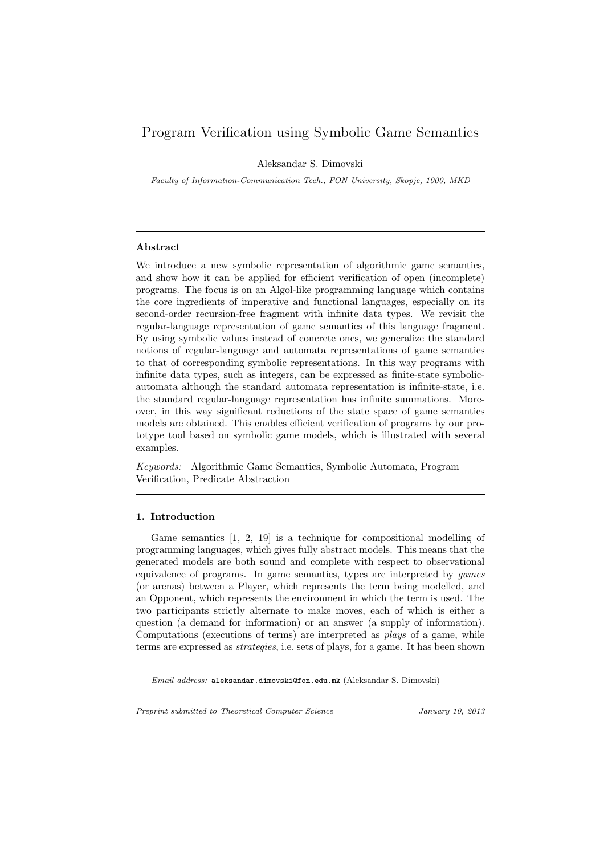# Program Verification using Symbolic Game Semantics

Aleksandar S. Dimovski

Faculty of Information-Communication Tech., FON University, Skopje, 1000, MKD

## Abstract

We introduce a new symbolic representation of algorithmic game semantics, and show how it can be applied for efficient verification of open (incomplete) programs. The focus is on an Algol-like programming language which contains the core ingredients of imperative and functional languages, especially on its second-order recursion-free fragment with infinite data types. We revisit the regular-language representation of game semantics of this language fragment. By using symbolic values instead of concrete ones, we generalize the standard notions of regular-language and automata representations of game semantics to that of corresponding symbolic representations. In this way programs with infinite data types, such as integers, can be expressed as finite-state symbolicautomata although the standard automata representation is infinite-state, i.e. the standard regular-language representation has infinite summations. Moreover, in this way significant reductions of the state space of game semantics models are obtained. This enables efficient verification of programs by our prototype tool based on symbolic game models, which is illustrated with several examples.

Keywords: Algorithmic Game Semantics, Symbolic Automata, Program Verification, Predicate Abstraction

## 1. Introduction

Game semantics [1, 2, 19] is a technique for compositional modelling of programming languages, which gives fully abstract models. This means that the generated models are both sound and complete with respect to observational equivalence of programs. In game semantics, types are interpreted by games (or arenas) between a Player, which represents the term being modelled, and an Opponent, which represents the environment in which the term is used. The two participants strictly alternate to make moves, each of which is either a question (a demand for information) or an answer (a supply of information). Computations (executions of terms) are interpreted as plays of a game, while terms are expressed as strategies, i.e. sets of plays, for a game. It has been shown

Preprint submitted to Theoretical Computer Science January 10, 2013

Email address: aleksandar.dimovski@fon.edu.mk (Aleksandar S. Dimovski)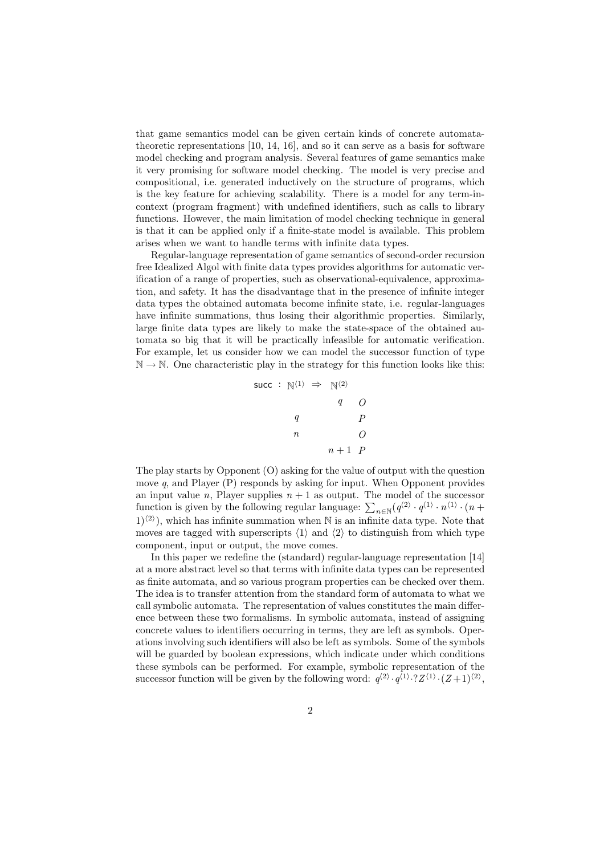that game semantics model can be given certain kinds of concrete automatatheoretic representations [10, 14, 16], and so it can serve as a basis for software model checking and program analysis. Several features of game semantics make it very promising for software model checking. The model is very precise and compositional, i.e. generated inductively on the structure of programs, which is the key feature for achieving scalability. There is a model for any term-incontext (program fragment) with undefined identifiers, such as calls to library functions. However, the main limitation of model checking technique in general is that it can be applied only if a finite-state model is available. This problem arises when we want to handle terms with infinite data types.

Regular-language representation of game semantics of second-order recursion free Idealized Algol with finite data types provides algorithms for automatic verification of a range of properties, such as observational-equivalence, approximation, and safety. It has the disadvantage that in the presence of infinite integer data types the obtained automata become infinite state, i.e. regular-languages have infinite summations, thus losing their algorithmic properties. Similarly, large finite data types are likely to make the state-space of the obtained automata so big that it will be practically infeasible for automatic verification. For example, let us consider how we can model the successor function of type  $\mathbb{N} \to \mathbb{N}$ . One characteristic play in the strategy for this function looks like this:

$$
\begin{array}{ccc}\n\text{succ} & : \mathbb{N}^{\langle 1 \rangle} \Rightarrow & \mathbb{N}^{\langle 2 \rangle} \\
& q & O \\
& q & P \\
& n & O \\
& n+1 & P\n\end{array}
$$

The play starts by Opponent (O) asking for the value of output with the question move  $q$ , and Player  $(P)$  responds by asking for input. When Opponent provides an input value n, Player supplies  $n + 1$  as output. The model of the successor an input value *n*, r layer supplies  $n + 1$  as output. The model of the successor function is given by the following regular language:  $\sum_{n \in \mathbb{N}} (q^{(2)} \cdot q^{(1)} \cdot n^{(1)} \cdot (n +$  $(1)^{\langle 2 \rangle}$ , which has infinite summation when N is an infinite data type. Note that moves are tagged with superscripts  $\langle 1 \rangle$  and  $\langle 2 \rangle$  to distinguish from which type component, input or output, the move comes.

In this paper we redefine the (standard) regular-language representation [14] at a more abstract level so that terms with infinite data types can be represented as finite automata, and so various program properties can be checked over them. The idea is to transfer attention from the standard form of automata to what we call symbolic automata. The representation of values constitutes the main difference between these two formalisms. In symbolic automata, instead of assigning concrete values to identifiers occurring in terms, they are left as symbols. Operations involving such identifiers will also be left as symbols. Some of the symbols will be guarded by boolean expressions, which indicate under which conditions these symbols can be performed. For example, symbolic representation of the successor function will be given by the following word:  $q^{(2)} \cdot q^{(1)} \cdot ?Z^{(1)} \cdot (Z+1)^{(2)}$ ,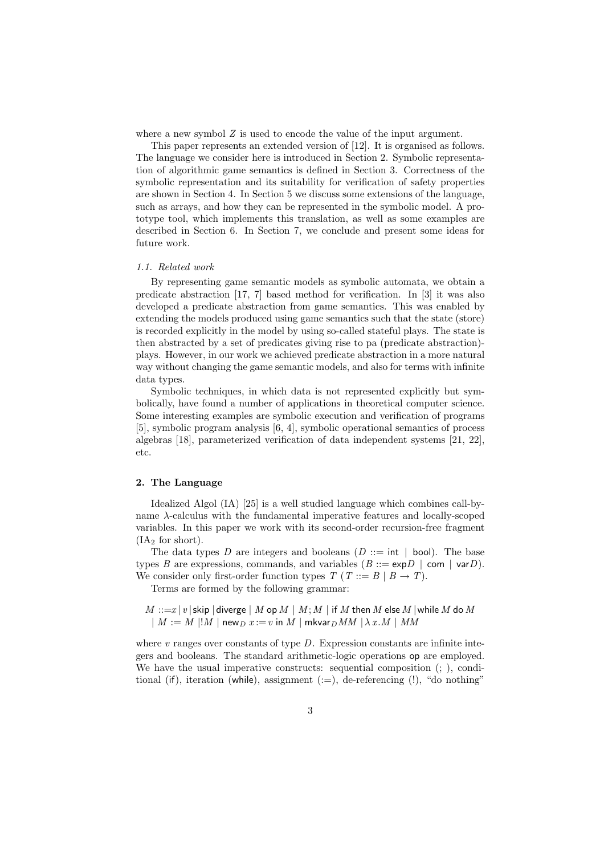where a new symbol  $Z$  is used to encode the value of the input argument.

This paper represents an extended version of [12]. It is organised as follows. The language we consider here is introduced in Section 2. Symbolic representation of algorithmic game semantics is defined in Section 3. Correctness of the symbolic representation and its suitability for verification of safety properties are shown in Section 4. In Section 5 we discuss some extensions of the language, such as arrays, and how they can be represented in the symbolic model. A prototype tool, which implements this translation, as well as some examples are described in Section 6. In Section 7, we conclude and present some ideas for future work.

#### 1.1. Related work

By representing game semantic models as symbolic automata, we obtain a predicate abstraction [17, 7] based method for verification. In [3] it was also developed a predicate abstraction from game semantics. This was enabled by extending the models produced using game semantics such that the state (store) is recorded explicitly in the model by using so-called stateful plays. The state is then abstracted by a set of predicates giving rise to pa (predicate abstraction) plays. However, in our work we achieved predicate abstraction in a more natural way without changing the game semantic models, and also for terms with infinite data types.

Symbolic techniques, in which data is not represented explicitly but symbolically, have found a number of applications in theoretical computer science. Some interesting examples are symbolic execution and verification of programs [5], symbolic program analysis [6, 4], symbolic operational semantics of process algebras [18], parameterized verification of data independent systems [21, 22], etc.

# 2. The Language

Idealized Algol (IA) [25] is a well studied language which combines call-byname  $\lambda$ -calculus with the fundamental imperative features and locally-scoped variables. In this paper we work with its second-order recursion-free fragment  $(IA<sub>2</sub>$  for short).

The data types D are integers and booleans  $(D ::= int | bool)$ . The base types B are expressions, commands, and variables  $(B ::= \exp D \mid \text{com} \mid \text{var}D)$ . We consider only first-order function types  $T(T ::= B | B \rightarrow T)$ .

Terms are formed by the following grammar:

 $M ::=x |v|$  skip | diverge | M op  $M | M; M |$  if M then M else M | while M do M  $|M := M|!M|$  new  $D_x := v$  in M | mkvar $DMM| \lambda x.M$  | MM

where  $v$  ranges over constants of type  $D$ . Expression constants are infinite integers and booleans. The standard arithmetic-logic operations op are employed. We have the usual imperative constructs: sequential composition  $(; \cdot)$ , conditional (if), iteration (while), assignment  $(:=)$ , de-referencing  $(!)$ , "do nothing"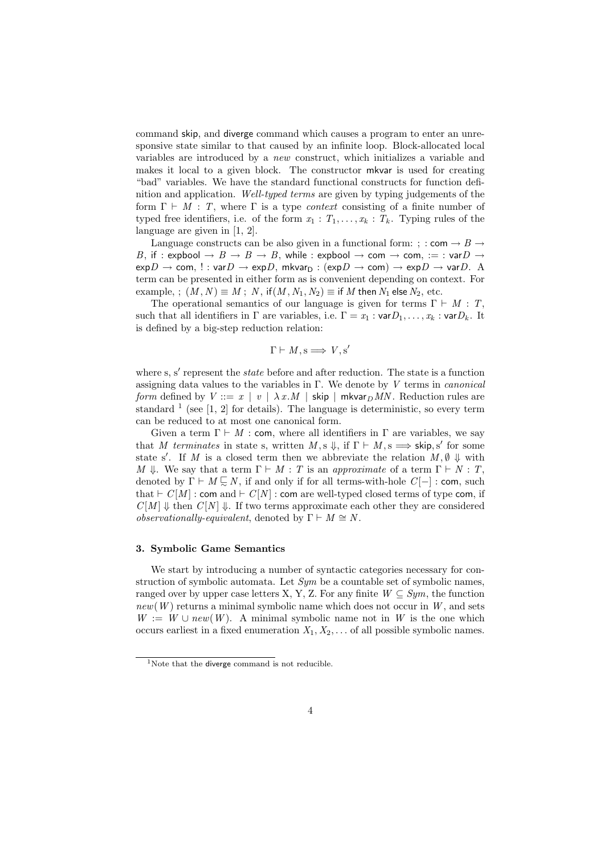command skip, and diverge command which causes a program to enter an unresponsive state similar to that caused by an infinite loop. Block-allocated local variables are introduced by a new construct, which initializes a variable and makes it local to a given block. The constructor mkvar is used for creating "bad" variables. We have the standard functional constructs for function definition and application. Well-typed terms are given by typing judgements of the form  $\Gamma \vdash M : T$ , where  $\Gamma$  is a type *context* consisting of a finite number of typed free identifiers, i.e. of the form  $x_1 : T_1, \ldots, x_k : T_k$ . Typing rules of the language are given in [1, 2].

Language constructs can be also given in a functional form: ; : com  $\rightarrow$  B  $\rightarrow$ B, if : expbool  $\rightarrow$   $B \rightarrow B \rightarrow B$ , while : expbool  $\rightarrow$  com  $\rightarrow$  com, := : var $D \rightarrow$  $\exp D \to \text{com}, \, !: \text{var } D \to \exp D, \text{ mkvar}_{D} : (\exp D \to \text{com}) \to \exp D \to \text{var } D.$  A term can be presented in either form as is convenient depending on context. For example, ;  $(M, N) \equiv M$ ;  $N$ , if $(M, N_1, N_2) \equiv$  if M then  $N_1$  else  $N_2$ , etc.

The operational semantics of our language is given for terms  $\Gamma \vdash M : T$ , such that all identifiers in  $\Gamma$  are variables, i.e.  $\Gamma = x_1 : \text{var} D_1, \ldots, x_k : \text{var} D_k$ . It is defined by a big-step reduction relation:

$$
\Gamma \vdash M, \mathbf{s} \Longrightarrow V, \mathbf{s}'
$$

where  $s, s'$  represent the *state* before and after reduction. The state is a function assigning data values to the variables in  $\Gamma$ . We denote by V terms in *canonical* form defined by  $V ::= x \mid v \mid \lambda x.M \mid$  skip  $\mid$  mkvar $\not$ MN. Reduction rules are standard  $<sup>1</sup>$  (see [1, 2] for details). The language is deterministic, so every term</sup> can be reduced to at most one canonical form.

Given a term  $\Gamma \vdash M$  : com, where all identifiers in  $\Gamma$  are variables, we say that M terminates in state s, written  $M$ , s  $\Downarrow$ , if  $\Gamma \vdash M$ , s  $\Longrightarrow$  skip, s' for some state s'. If M is a closed term then we abbreviate the relation  $M, \emptyset, \emptyset, \emptyset$  with M  $\Downarrow$ . We say that a term  $\Gamma \vdash M : T$  is an approximate of a term  $\Gamma \vdash N : T$ , denoted by  $\Gamma \vdash M \subseteq N$ , if and only if for all terms-with-hole  $C[-]$  : com, such that  $\vdash C[M]$ : com and  $\vdash C[N]$ : com are well-typed closed terms of type com, if  $C[M] \Downarrow$  then  $C[N] \Downarrow$ . If two terms approximate each other they are considered observationally-equivalent, denoted by  $\Gamma \vdash M \cong N$ .

#### 3. Symbolic Game Semantics

We start by introducing a number of syntactic categories necessary for construction of symbolic automata. Let  $Sym$  be a countable set of symbolic names, ranged over by upper case letters X, Y, Z. For any finite  $W \subseteq Sym$ , the function  $new(W)$  returns a minimal symbolic name which does not occur in  $W$ , and sets  $W := W \cup new(W)$ . A minimal symbolic name not in W is the one which occurs earliest in a fixed enumeration  $X_1, X_2, \ldots$  of all possible symbolic names.

<sup>&</sup>lt;sup>1</sup>Note that the diverge command is not reducible.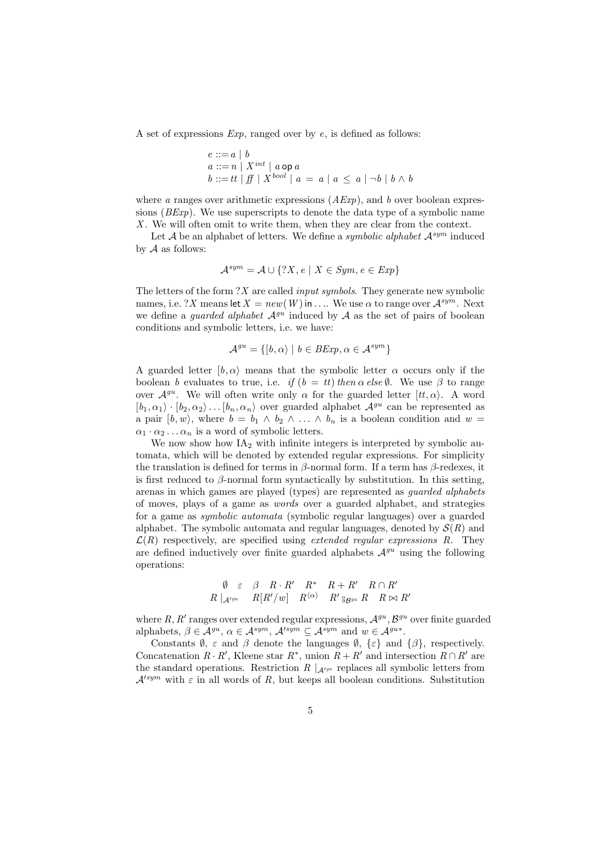A set of expressions  $Exp$ , ranged over by e, is defined as follows:

$$
e ::= a | b
$$
  
\n
$$
a ::= n | X^{int} | a \text{ op } a
$$
  
\n
$$
b ::= tt | ff | X^{bool} | a = a | a \le a | \neg b | b \land b
$$

where a ranges over arithmetic expressions  $(AExp)$ , and b over boolean expressions (BExp). We use superscripts to denote the data type of a symbolic name X. We will often omit to write them, when they are clear from the context.

Let A be an alphabet of letters. We define a symbolic alphabet  $A^{sym}$  induced by  $A$  as follows:

$$
\mathcal{A}^{sym} = \mathcal{A} \cup \{?X, e \mid X \in Sym, e \in Exp\}
$$

The letters of the form  $?X$  are called *input symbols*. They generate new symbolic names, i.e. ? X means let  $X = new(W)$  in .... We use  $\alpha$  to range over  $\mathcal{A}^{sym}$ . Next we define a *guarded alphabet*  $A^{gu}$  induced by A as the set of pairs of boolean conditions and symbolic letters, i.e. we have:

$$
\mathcal{A}^{gu} = \{ [b, \alpha \rangle \mid b \in \text{BExp}, \alpha \in \mathcal{A}^{sym} \}
$$

A guarded letter  $[b, \alpha]$  means that the symbolic letter  $\alpha$  occurs only if the boolean b evaluates to true, i.e. if  $(b = tt)$  then  $\alpha$  else  $\emptyset$ . We use  $\beta$  to range over  $\mathcal{A}^{gu}$ . We will often write only  $\alpha$  for the guarded letter  $[tt, \alpha\rangle$ . A word  $[b_1, \alpha_1] \cdot [b_2, \alpha_2] \dots [b_n, \alpha_n]$  over guarded alphabet  $\mathcal{A}^{gu}$  can be represented as a pair  $[b, w)$ , where  $b = b_1 \wedge b_2 \wedge \ldots \wedge b_n$  is a boolean condition and  $w =$  $\alpha_1 \cdot \alpha_2 \ldots \alpha_n$  is a word of symbolic letters.

We now show how  $IA<sub>2</sub>$  with infinite integers is interpreted by symbolic automata, which will be denoted by extended regular expressions. For simplicity the translation is defined for terms in  $\beta$ -normal form. If a term has  $\beta$ -redexes, it is first reduced to  $\beta$ -normal form syntactically by substitution. In this setting, arenas in which games are played (types) are represented as guarded alphabets of moves, plays of a game as words over a guarded alphabet, and strategies for a game as symbolic automata (symbolic regular languages) over a guarded alphabet. The symbolic automata and regular languages, denoted by  $\mathcal{S}(R)$  and  $\mathcal{L}(R)$  respectively, are specified using *extended regular expressions* R. They are defined inductively over finite guarded alphabets  $\mathcal{A}^{gu}$  using the following operations:

$$
\begin{array}{ccccc}\n\emptyset & \varepsilon & \beta & R \cdot R' & R^* & R + R' & R \cap R' \\
R \mid_{\mathcal{A}'^{gu}} & R[R'/w] & R^{\langle \alpha \rangle} & R' \,_{9}^{\circ} g_{g u} \, R & R \, \bowtie R'\n\end{array}
$$

where R, R' ranges over extended regular expressions,  $\mathcal{A}^{gu}, \mathcal{B}^{gu}$  over finite guarded alphabets,  $\beta \in \mathcal{A}^{gu}$ ,  $\alpha \in \mathcal{A}^{sym}$ ,  $\mathcal{A}^{\prime sym} \subseteq \mathcal{A}^{sym}$  and  $w \in \mathcal{A}^{gu*}$ .

Constants  $\emptyset$ ,  $\varepsilon$  and  $\beta$  denote the languages  $\emptyset$ ,  $\{\varepsilon\}$  and  $\{\beta\}$ , respectively. Concatenation  $R \cdot R'$ , Kleene star  $R^*$ , union  $R + R'$  and intersection  $R \cap R'$  are the standard operations. Restriction R  $\vert_{\mathcal{A}^{\prime gu}}$  replaces all symbolic letters from  $\mathcal{A}'^{sym}$  with  $\varepsilon$  in all words of R, but keeps all boolean conditions. Substitution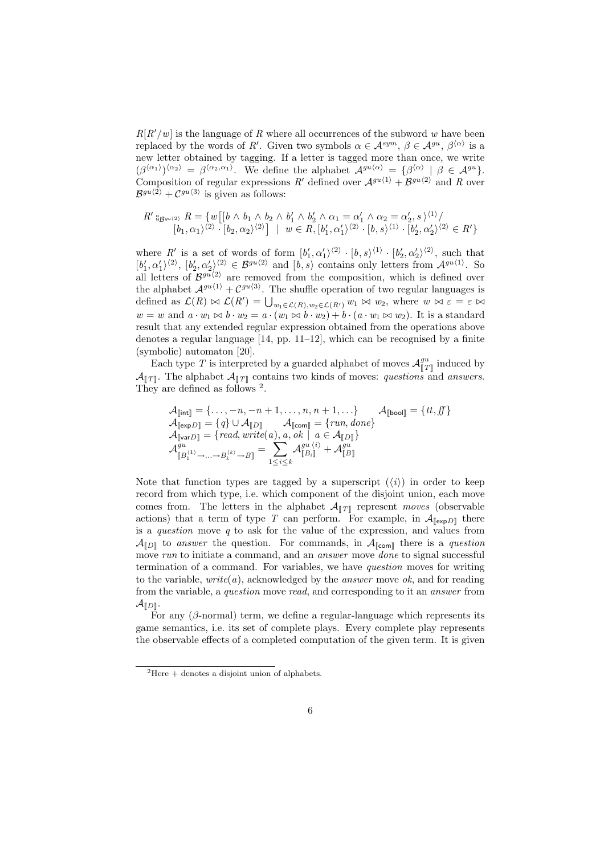$R[R'/w]$  is the language of R where all occurrences of the subword w have been replaced by the words of R'. Given two symbols  $\alpha \in \mathcal{A}^{sym}$ ,  $\beta \in \mathcal{A}^{gu}$ ,  $\beta^{\langle \alpha \rangle}$  is a new letter obtained by tagging. If a letter is tagged more than once, we write  $(\beta^{\langle \alpha_1 \rangle})^{\langle \alpha_2 \rangle} = \beta^{\langle \alpha_2, \alpha_1 \rangle}$ . We define the alphabet  $\mathcal{A}^{gu \langle \alpha \rangle} = {\beta^{\langle \alpha \rangle} \mid \beta \in \mathcal{A}^{gu}}$ . Composition of regular expressions R' defined over  $A^{gu(1)} + B^{gu(2)}$  and R over  $\mathcal{B}^{gu\langle 2 \rangle} + \mathcal{C}^{gu\langle 3 \rangle}$  is given as follows:

$$
R' \S_{\mathcal{B}^{gu\langle 2\rangle}} R = \{ w \big[ [b \wedge b_1 \wedge b_2 \wedge b'_1 \wedge b'_2 \wedge \alpha_1 = \alpha'_1 \wedge \alpha_2 = \alpha'_2, s \rangle^{\langle 1 \rangle} / \\ [b_1, \alpha_1 \rangle^{\langle 2 \rangle} \cdot [b_2, \alpha_2 \rangle^{\langle 2 \rangle} \big] \mid w \in R, [b'_1, \alpha'_1 \rangle^{\langle 2 \rangle} \cdot [b, s \rangle^{\langle 1 \rangle} \cdot [b'_2, \alpha'_2 \rangle^{\langle 2 \rangle} \in R' \}
$$

where R' is a set of words of form  $[b'_1, \alpha'_1\rangle^{\langle 2 \rangle} \cdot [b, s\rangle^{\langle 1 \rangle} \cdot [b'_2, \alpha'_2\rangle^{\langle 2 \rangle},$  such that  $[b'_1,\alpha'_1\rangle^{(2)}, [b'_2,\alpha'_2\rangle^{(2)} \in \mathcal{B}^{gu\langle 2\rangle} \text{ and } [b,s\rangle \text{ contains only letters from } \mathcal{A}^{gu\langle 1\rangle}.$  So all letters of  $\mathcal{B}^{gu(2)}$  are removed from the composition, which is defined over the alphabet  $A^{gu(1)} + C^{gu(3)}$ . The shuffle operation of two regular languages is defined as  $\mathcal{L}(R) \bowtie \mathcal{L}(R') = \bigcup_{w_1 \in \mathcal{L}(R), w_2 \in \mathcal{L}(R')} w_1 \bowtie w_2$ , where  $w \bowtie \varepsilon = \varepsilon \bowtie$  $w = w$  and  $a \cdot w_1 \bowtie b \cdot w_2 = a \cdot (w_1 \bowtie b \cdot w_2) + b \cdot (a \cdot w_1 \bowtie w_2)$ . It is a standard result that any extended regular expression obtained from the operations above denotes a regular language [14, pp. 11–12], which can be recognised by a finite (symbolic) automaton [20].

Each type T is interpreted by a guarded alphabet of moves  $\mathcal{A}_{\llbracket T \rrbracket}^{gu}$  induced by  $\mathcal{A}_{\llbracket T\rrbracket}$ . The alphabet  $\mathcal{A}_{\llbracket T\rrbracket}$  contains two kinds of moves: questions and answers. They are defined as follows <sup>2</sup>.

$$
\begin{array}{l} \mathcal{A}_{\llbracket \mathsf{int} \rrbracket} = \{\ldots, -n, -n+1, \ldots, n, n+1, \ldots\} & \mathcal{A}_{\llbracket \mathsf{bool} \rrbracket} = \{ \mathit{tt}, \mathit{ff} \} \\ \mathcal{A}_{\llbracket \mathsf{expD} \rrbracket} = \{ \mathit{q} \} \cup \mathcal{A}_{\llbracket D \rrbracket} & \mathcal{A}_{\llbracket \mathsf{com} \rrbracket} = \{ \mathit{run}, \mathit{done} \} \\ \mathcal{A}_{\llbracket \mathsf{varD} \rrbracket} = \{ \mathit{read}, \mathit{write}(a), a, \mathit{ok} \mid a \in \mathcal{A}_{\llbracket D \rrbracket} \} \\ \mathcal{A}_{\llbracket B_1^{(1)}, \ldots, B_k^{(k)} \rightarrow B \rrbracket} = \sum_{1 \leq i \leq k} \mathcal{A}_{\llbracket B_i \rrbracket}^{gu \; \langle i \rangle} + \mathcal{A}_{\llbracket B \rrbracket}^{gu} \end{array}
$$

Note that function types are tagged by a superscript  $(\langle i \rangle)$  in order to keep record from which type, i.e. which component of the disjoint union, each move comes from. The letters in the alphabet  $\mathcal{A}_{[\![T]\!]}$  represent  $moves$  (observable actions) that a term of type T can perform. For example, in  $\mathcal{A}_{\lbrack \text{exp}D\rbrack}$  there is a *question* move  $q$  to ask for the value of the expression, and values from  $\mathcal{A}_{\llbracket D \rrbracket}$  to answer the question. For commands, in  $\mathcal{A}_{\llbracket \mathsf{com} \rrbracket}$  there is a question move run to initiate a command, and an *answer* move *done* to signal successful termination of a command. For variables, we have question moves for writing to the variable,  $write(a)$ , acknowledged by the *answer* move  $ok$ , and for reading from the variable, a question move read, and corresponding to it an answer from  $\mathcal{A}_{\llbracket D \rrbracket}$ .

For any  $(\beta$ -normal) term, we define a regular-language which represents its game semantics, i.e. its set of complete plays. Every complete play represents the observable effects of a completed computation of the given term. It is given

 ${}^{2}$ Here  $+$  denotes a disjoint union of alphabets.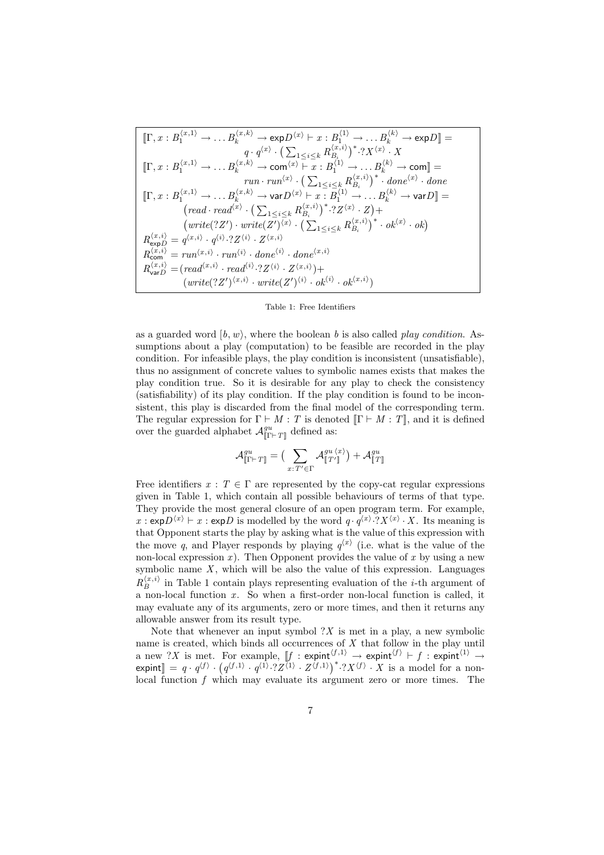$$
\begin{split}\n\left[\Gamma, x : B_1^{(x,1)} \to \dots B_k^{(x,k)} \to \exp D^{(x)} \vdash x : B_1^{(1)} \to \dots B_k^{(k)} \to \exp D\right] &= \\
&\quad q \cdot q^{(x)} \cdot \left(\sum_{1 \leq i \leq k} B_{B_i}^{(x,i)}\right)^* \cdot ?X^{(x)} \cdot X \\
\left[\Gamma, x : B_1^{(x,1)} \to \dots B_k^{(x,k)} \to \operatorname{com}(x) \vdash x : B_1^{(1)} \to \dots B_k^{(k)} \to \operatorname{com}\right] &= \\
&\quad \operatorname{run} \cdot \operatorname{run}^{(x)} \cdot \left(\sum_{1 \leq i \leq k} R_{B_i}^{(x,i)}\right)^* \cdot \operatorname{done}^{(x)} \cdot \operatorname{done} \\
\left[\Gamma, x : B_1^{(x,1)} \to \dots B_k^{(x,k)} \to \operatorname{var} D^{(x)} \vdash x : B_1^{(1)} \to \dots B_k^{(k)} \to \operatorname{var} D\right] &= \\
&\quad \left(\operatorname{read} \cdot \operatorname{read}^{(x)} \cdot \left(\sum_{1 \leq i \leq k} R_{B_i}^{(x,i)}\right)^* \cdot ?Z^{(x)} \cdot Z\right) + \\
&\quad \left(\operatorname{write}(?Z') \cdot \operatorname{write}(Z')^{(x)} \cdot \left(\sum_{1 \leq i \leq k} R_{B_i}^{(x,i)}\right)^* \cdot \operatorname{ok}^{(x)} \cdot \operatorname{ok}\right) \\
&\quad R_{\exp D}^{(x,i)} &= q^{(x,i)} \cdot q^{(i)} \cdot ?Z^{(i)} \cdot Z^{(x,i)} \\
&\quad \operatorname{R_{\text{comp}}^{(x,i)}} &= \operatorname{run}^{(x,i)} \cdot \operatorname{run}^{(i)} \cdot \operatorname{done}^{(i)} \cdot \operatorname{done}^{(x,i)} \\
&\quad \operatorname{R_{\text{comp}}^{(x,i)}} &= \operatorname{read}^{(x,i)} \cdot \operatorname{read}^{(i)} \cdot ?Z^{(i)} \cdot Z^{(x,i)}\right) + \\
&\quad \left(\operatorname{write}(?Z')^{(x,i)} \cdot \operatorname{write}(Z')^{(i)} \cdot \operatorname{ok}^{(i)} \cdot \operatorname{ok}^{(i)} \cdot \operatorname{ok
$$

Table 1: Free Identifiers

as a guarded word  $[b, w)$ , where the boolean b is also called play condition. Assumptions about a play (computation) to be feasible are recorded in the play condition. For infeasible plays, the play condition is inconsistent (unsatisfiable), thus no assignment of concrete values to symbolic names exists that makes the play condition true. So it is desirable for any play to check the consistency (satisfiability) of its play condition. If the play condition is found to be inconsistent, this play is discarded from the final model of the corresponding term. The regular expression for  $\Gamma \vdash M : T$  is denoted  $\lbrack \Gamma \vdash M : T \rbrack$ , and it is defined over the guarded alphabet  $\mathcal{A}_{\|\Gamma\vdash T\|}^{gu}$  defined as:

$$
\mathcal{A}^{gu}_{\llbracket \Gamma \vdash T \rrbracket} = \big( \sum_{x: T' \in \Gamma} \mathcal{A}^{gu \; \langle x \rangle}_{\llbracket T' \rrbracket} \big) + \mathcal{A}^{gu}_{\llbracket T \rrbracket}
$$

Free identifiers  $x : T \in \Gamma$  are represented by the copy-cat regular expressions given in Table 1, which contain all possible behaviours of terms of that type. They provide the most general closure of an open program term. For example,  $x : \exp D^{(x)} \vdash x : \exp D$  is modelled by the word  $q \cdot q^{(x)} \cdot ?X^{(x)} \cdot X$ . Its meaning is that Opponent starts the play by asking what is the value of this expression with the move q, and Player responds by playing  $q^{x}$  (i.e. what is the value of the non-local expression  $x$ ). Then Opponent provides the value of  $x$  by using a new symbolic name  $X$ , which will be also the value of this expression. Languages  $R_{B}^{\langle x,i\rangle}$  $B_B^{(x,i)}$  in Table 1 contain plays representing evaluation of the *i*-th argument of a non-local function  $x$ . So when a first-order non-local function is called, it may evaluate any of its arguments, zero or more times, and then it returns any allowable answer from its result type.

Note that whenever an input symbol  $?X$  is met in a play, a new symbolic name is created, which binds all occurrences of X that follow in the play until a new ?X is met. For example,  $[f : \text{expint}^{\{f,1\}} \to \text{expint}^{\{f\}} \vdash f : \text{expint}^{\{1\}} \to$ expint $\rrbracket = q \cdot q^{\langle f \rangle}$  . ¡ For example,  $[f : \text{expint}^{\bullet} \rightarrow \text{expint}^{\bullet} \rightarrow f : \text{expint}^{\bullet} \rightarrow \text{expint}^{\bullet} \rightarrow$ <br> $q^{(f,1)} \cdot q^{(1)} \cdot 2Z^{(1)} \cdot Z^{(f,1)}^* \cdot 2X^{(f)} \cdot X$  is a model for a nonlocal function f which may evaluate its argument zero or more times. The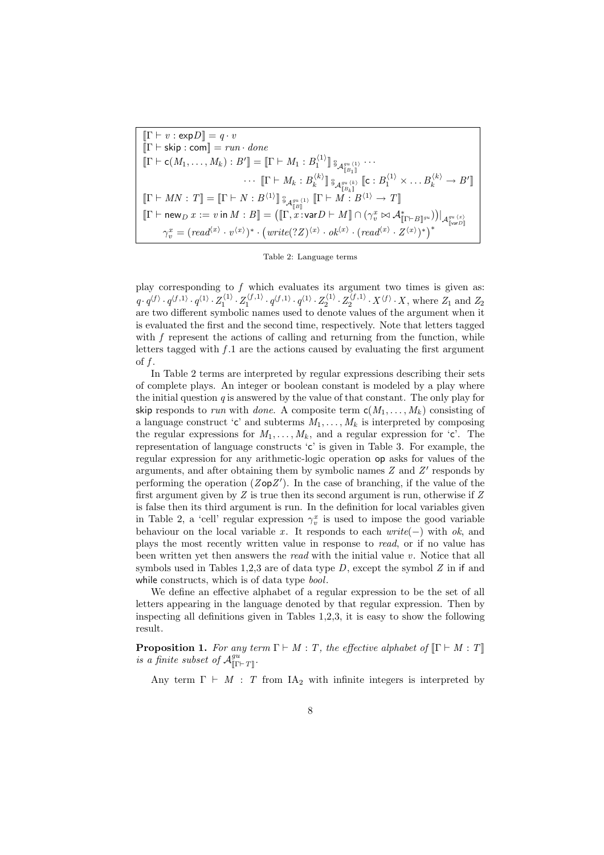$$
\begin{aligned} \llbracket \Gamma \vdash v : \exp D \rrbracket & = q \cdot v \\ \llbracket \Gamma \vdash \mathsf{skip} : \mathsf{com} \rrbracket & = run \cdot done \\ \llbracket \Gamma \vdash \mathsf{c}(M_1, \ldots, M_k) : B' \rrbracket & = \llbracket \Gamma \vdash M_1 : B_1^{(1)} \rrbracket \, \mathsf{s}_{A_1^{gu}(1)}^{a_{u}(1)} \, \cdots \\ & \qquad \qquad \cdots \, \llbracket \Gamma \vdash M_k : B_k^{(k)} \rrbracket \, \mathsf{s}_{A_1^{gu}(k)}^{a_{u}(k)} \llbracket \mathsf{c} : B_1^{(1)} \times \ldots B_k^{(k)} \to B' \rrbracket \\ \llbracket \Gamma \vdash MN : T \rrbracket & = \llbracket \Gamma \vdash N : B^{(1)} \rrbracket \, \mathsf{s}_{A_1^{gu}(1)}^{a_{u}(1)} \, \llbracket \Gamma \vdash M : B^{(1)} \to T \rrbracket \\ \llbracket \Gamma \vdash \mathsf{new}_D \, x := v \, \mathsf{in} \, M : B \rrbracket & = \big( \llbracket \Gamma, x : \mathsf{var} D \vdash M \rrbracket \cap \big( \gamma_v^x \bowtie \mathcal{A}_{\llbracket \Gamma \vdash B \rrbracket^{gu}}^{*} \big) \big) \big|_{\mathcal{A}_1^{gu}(x)} \\ \gamma_v^x & = \big( \mathsf{read}^{\langle x \rangle} \cdot v^{\langle x \rangle} \big)^* \cdot \big( \mathsf{write}(?Z)^{\langle x \rangle} \cdot \mathsf{ok}^{\langle x \rangle} \cdot \big( \mathsf{read}^{\langle x \rangle} \cdot Z^{\langle x \rangle} \big)^* \big)^* \end{aligned}
$$

Table 2: Language terms

play corresponding to  $f$  which evaluates its argument two times is given as:  $q \cdot q^{\langle f \rangle} \cdot q^{\langle f,1 \rangle} \cdot q^{\langle 1 \rangle} \cdot Z_1^{\langle f,1 \rangle} \cdot q^{\langle f,1 \rangle} \cdot q^{\langle 1 \rangle} \cdot Z_2^{\langle 1 \rangle} \cdot Z_2^{\langle f,1 \rangle} \cdot X^{\langle f \rangle} \cdot X$ , where  $Z_1$  and  $Z_2$ are two different symbolic names used to denote values of the argument when it is evaluated the first and the second time, respectively. Note that letters tagged with f represent the actions of calling and returning from the function, while letters tagged with  $f \cdot 1$  are the actions caused by evaluating the first argument of  $f$ .

In Table 2 terms are interpreted by regular expressions describing their sets of complete plays. An integer or boolean constant is modeled by a play where the initial question  $q$  is answered by the value of that constant. The only play for skip responds to run with done. A composite term  $c(M_1, \ldots, M_k)$  consisting of a language construct 'c' and subterms  $M_1, \ldots, M_k$  is interpreted by composing the regular expressions for  $M_1, \ldots, M_k$ , and a regular expression for 'c'. The representation of language constructs 'c' is given in Table 3. For example, the regular expression for any arithmetic-logic operation op asks for values of the arguments, and after obtaining them by symbolic names  $Z$  and  $Z'$  responds by performing the operation  $(ZopZ')$ . In the case of branching, if the value of the first argument given by  $Z$  is true then its second argument is run, otherwise if  $Z$ is false then its third argument is run. In the definition for local variables given in Table 2, a 'cell' regular expression  $\gamma_v^x$  is used to impose the good variable behaviour on the local variable x. It responds to each  $write(-)$  with ok, and plays the most recently written value in response to read, or if no value has been written yet then answers the *read* with the initial value v. Notice that all symbols used in Tables 1,2,3 are of data type  $D$ , except the symbol  $Z$  in if and while constructs, which is of data type *bool*.

We define an effective alphabet of a regular expression to be the set of all letters appearing in the language denoted by that regular expression. Then by inspecting all definitions given in Tables 1,2,3, it is easy to show the following result.

**Proposition 1.** For any term  $\Gamma \vdash M : T$ , the effective alphabet of  $\llbracket \Gamma \vdash M : T \rrbracket$ is a finite subset of  $\mathcal{A}^{gu}_{\llbracket \Gamma \vdash T \rrbracket}$ .

Any term  $\Gamma \vdash M$ : T from IA<sub>2</sub> with infinite integers is interpreted by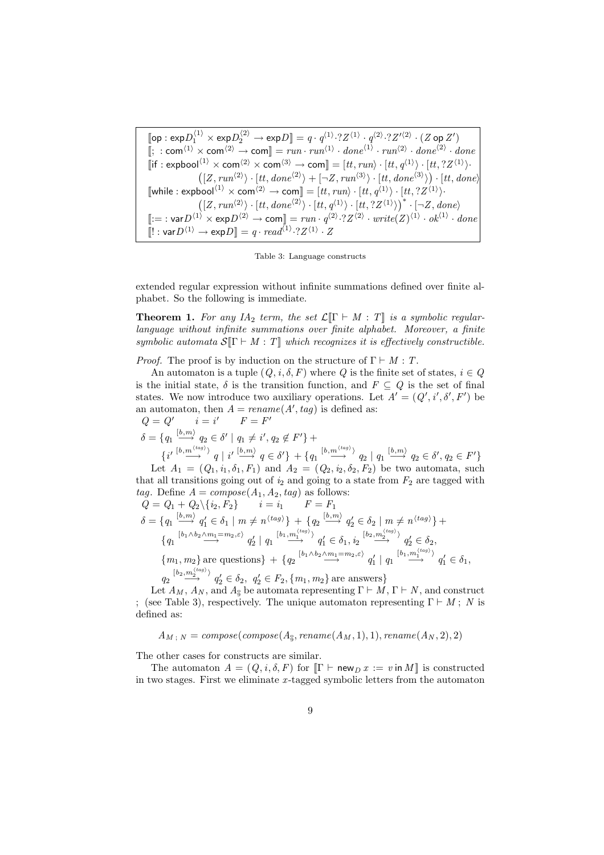$\llbracket \mathsf{op} : \mathsf{exp} D_1^{\langle 1 \rangle} \times \mathsf{exp} D_2^{\langle 2 \rangle} \to \mathsf{exp} D \rrbracket = q \cdot q^{\langle 1 \rangle} \cdot ? Z^{\langle 1 \rangle} \cdot q^{\langle 2 \rangle} \cdot ? Z'^{\langle 2 \rangle} \cdot (Z \mathsf{op} \, Z')$  $[\; : \mathsf{com}^{\langle 1 \rangle} \times \mathsf{com}^{\langle 2 \rangle} \to \mathsf{com}] = run \cdot run^{\langle 1 \rangle} \cdot done^{\langle 1 \rangle} \cdot run^{\langle 2 \rangle} \cdot done^{\langle 2 \rangle} \cdot done^{\langle 2 \rangle}$  $\llbracket \text{if} : \text{explool}^{(1)} \times \text{com}^{(2)} \times \text{com}^{(3)} \to \text{com} \rrbracket = [tt, run \rangle \cdot [tt, q^{(1)} \rangle \cdot [tt, ?Z^{(1)} \rangle \cdot$  $\langle [Z, run^{(2)} \rangle \cdot [tt, done^{(2)} \rangle + [\neg Z, run^{(3)} \rangle \cdot [tt, done^{(3)} \rangle$  $\frac{b}{\sqrt{a}}$  $\cdot$  [tt, done)  $[\text{while}: \text{explool}^{(1)} \times \text{com}^{(2)} \to \text{com}]] = [tt, run\rangle \cdot [tt, q^{(1)}\rangle \cdot [tt, ?Z^{(1)}\rangle \cdot [tt, ?Z^{(1)}\rangle \cdot [(Z, run^{(2)}\rangle \cdot [tt, done^{(2)}\rangle \cdot [tt, q^{(1)}\rangle \cdot [tt, ?Z^{(1)}\rangle)]^* \cdot [\neg Z, done\rangle$  $\Vert := : \text{var} D^{\langle 1 \rangle} \times \exp D^{\langle 2 \rangle} \to \text{com} \Vert = run \cdot q^{\langle 2 \rangle} \cdot ?Z^{\langle 2 \rangle} \cdot write(Z)^{\langle 1 \rangle} \cdot ok^{\langle 1 \rangle} \cdot done$  $\llbracket ! : \mathsf{var} D^{\langle 1 \rangle} \to \mathsf{exp} D \rrbracket = q \cdot \mathit{read}^{\langle 1 \rangle} \cdot 2Z^{\langle 1 \rangle} \cdot Z$ 

Table 3: Language constructs

extended regular expression without infinite summations defined over finite alphabet. So the following is immediate.

**Theorem 1.** For any IA<sub>2</sub> term, the set  $\mathcal{L}[\Gamma \vdash M : T]$  is a symbolic regularlanguage without infinite summations over finite alphabet. Moreover, a finite symbolic automata  $S[\Gamma \vdash M : T]$  which recognizes it is effectively constructible.

*Proof.* The proof is by induction on the structure of  $\Gamma \vdash M : T$ .

An automaton is a tuple  $(Q, i, \delta, F)$  where Q is the finite set of states,  $i \in Q$ is the initial state,  $\delta$  is the transition function, and  $F \subseteq Q$  is the set of final states. We now introduce two auxiliary operations. Let  $A' = (Q', i', \delta', F')$  be an automaton, then  $A = \text{rename}(A', \text{tag})$  is defined as:

 $Q = Q'$   $i = i$  $\Gamma = F'$  $\delta = \{q_1 \stackrel{[b,m)}{\longrightarrow} q_2 \in \delta' \mid q_1 \neq i', q_2 \notin F'\} +$  $\{i'\stackrel{[b,m'\stackrel{(ag)}{\longrightarrow}}{q}|\stackrel{i'\stackrel{[b,m]}{\longrightarrow}}{q}\in \delta'\} + \{q_1 \stackrel{[b,m'\stackrel{(ag)}{\longrightarrow}}{q_2}|\stackrel{q_1}{q_1} \stackrel{[b,m]}{\longrightarrow}q_2\in \delta', q_2\in F'\}$ 

Let  $A_1 = (Q_1, i_1, \delta_1, F_1)$  and  $A_2 = (Q_2, i_2, \delta_2, F_2)$  be two automata, such that all transitions going out of  $i_2$  and going to a state from  $F_2$  are tagged with tag. Define  $A = \text{composite}(A_1, A_2, tag)$  as follows:

$$
Q = Q_1 + Q_2 \setminus \{i_2, F_2\} \t i = i_1 \t F = F_1
$$
  
\n
$$
\delta = \{q_1 \stackrel{[b,m]}{\longrightarrow} q'_1 \in \delta_1 \mid m \neq n^{\langle tag \rangle}\} + \{q_2 \stackrel{[b,m]}{\longrightarrow} q'_2 \in \delta_2 \mid m \neq n^{\langle tag \rangle}\} +
$$
  
\n
$$
\{q_1 \stackrel{[b_1 \wedge b_2 \wedge m_1 = m_2, \varepsilon)}{\longrightarrow} q'_2 \mid q_1 \stackrel{[b_1, m_1^{\langle tag \rangle})}{\longrightarrow} q'_1 \in \delta_1, i_2 \stackrel{[b_2, m_2^{\langle tag \rangle})}{\longrightarrow} q'_2 \in \delta_2,
$$
  
\n
$$
\{m_1, m_2\} \text{ are questions} \} + \{q_2 \stackrel{[b_1 \wedge b_2 \wedge m_1 = m_2, \varepsilon)}{\longrightarrow} q'_1 \mid q_1 \stackrel{[b_1, m_1^{\langle tag \rangle})}{\longrightarrow} q'_1 \in \delta_1,
$$
  
\n
$$
\{b_2, m_2^{\langle tag \rangle}\} \t \cdot \t c_2 \cdot \t c_1 \cdot \t c_2 \cdot \t c_3 \cdot \t c_4 \cdot \t c_5 \cdot \t c_6 \cdot \t c_7 \cdot \t c_8 \cdot \t c_9 \cdot \t c_9 \cdot \t c_9 \cdot \t c_9 \cdot \t c_9 \cdot \t c_9 \cdot \t c_9 \cdot \t c_9 \cdot \t c_9 \cdot \t c_9 \cdot \t c_9 \cdot \t c_9 \cdot \t c_9 \cdot \t c_9 \cdot \t c_9 \cdot \t c_9 \cdot \t c_9 \cdot \t c_9 \cdot \t c_9 \cdot \t c_9 \cdot \t c_9 \cdot \t c_9 \cdot \t c_9 \cdot \t c_9 \cdot \t c_9 \cdot \t c_9 \cdot \t c_9 \cdot \t c_9 \cdot \t c_9 \cdot \t c_9 \cdot \t c_9 \cdot \t c_9 \cdot \t c_9 \cdot \t c_9 \cdot \t c_9 \cdot \t c_9 \cdot \t c_9 \cdot \t c_9 \cdot \t c_9 \cdot \t c_9 \cdot \t c_9 \cdot \t c_9 \cdot \t c
$$

 $q_2 \stackrel{[b_2,m_2^{(u_i,y_i)}]}{\longrightarrow} q_2' \in \delta_2$ ,  $q_2' \in F_2$ ,  $\{m_1, m_2\}$  are answers

Let  $A_M$ ,  $A_N$ , and  $A_{\frac{9}{9}}$  be automata representing  $\Gamma \vdash M$ ,  $\Gamma \vdash N$ , and construct ; (see Table 3), respectively. The unique automaton representing  $\Gamma \vdash M$ ; N is defined as:

 $A_{M\,;\;N}=compose(compose(A_{\S}, rename(A_{M},1),1), rename(A_{N},2),2)$ 

The other cases for constructs are similar.

The automaton  $A = (Q, i, \delta, F)$  for  $\|\Gamma \vdash \mathsf{new}_D x := v \text{ in } M\|$  is constructed in two stages. First we eliminate  $x$ -tagged symbolic letters from the automaton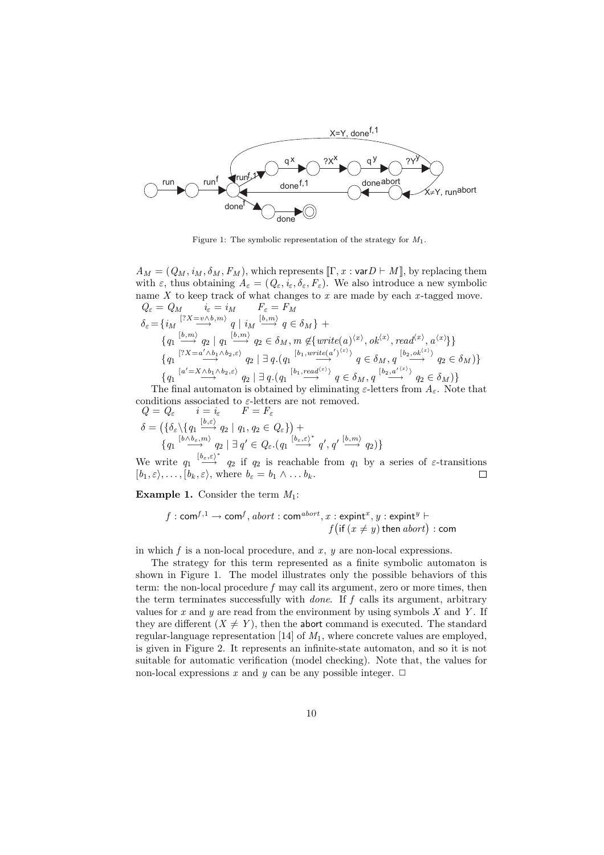

Figure 1: The symbolic representation of the strategy for  $M_1$ .

 $A_M = (Q_M, i_M, \delta_M, F_M)$ , which represents  $\llbracket \Gamma, x : \text{var} D \vdash M \rrbracket$ , by replacing them with  $\varepsilon$ , thus obtaining  $A_{\varepsilon} = (Q_{\varepsilon}, i_{\varepsilon}, \delta_{\varepsilon}, F_{\varepsilon})$ . We also introduce a new symbolic name  $X$  to keep track of what changes to  $x$  are made by each  $x$ -tagged move.  $Q_{\varepsilon} = Q_M$   $i_{\varepsilon} = i_M$   $F_{\varepsilon} = F_M$  $\delta_{\varepsilon} = \{ i_M \stackrel{[?X = v \wedge b, m\rangle}{\longrightarrow} q \mid i_M \stackrel{[b, m\rangle}{\longrightarrow} q \in \delta_M \} +$  ${q_1 \xrightarrow{[b,m]} q_2 \mid q_1 \xrightarrow{[b,m]} q_2 \in \delta_M, m \notin \{write(a)^{\langle x \rangle}, ok^{\langle x \rangle}, read^{\langle x \rangle}, a^{\langle x \rangle}\}}$  ${q_1 \xrightarrow[7X=a'\wedge b_1\wedge b_2,\varepsilon]} q_2 \mid \exists q.(q_1 \stackrel{[b_1, write(a')^{(x)})}{\longrightarrow} q \in \delta_M, q \stackrel{[b_2,ok^{(x)})}{\longrightarrow} q_2 \in \delta_M) }$  $\{q_1 \stackrel{[a' = X \wedge b_1 \wedge b_2, \varepsilon)}{\longrightarrow} q_2 \mid \exists q.(q_1 \stackrel{[b_1, read^{(x)})}{\longrightarrow} q \in \delta_M, q \stackrel{[b_2, a'^{(x)})}{\longrightarrow} q_2 \in \delta_M)\}\$ 

The final automaton is obtained by eliminating  $\varepsilon$ -letters from  $A_{\varepsilon}$ . Note that conditions associated to  $\varepsilon$ -letters are not removed.

$$
Q = Q_{\varepsilon} \qquad i = i_{\varepsilon} \qquad F = F_{\varepsilon}
$$
  
\n
$$
\delta = \left( \{ \delta_{\varepsilon} \setminus \{ q_1 \stackrel{[b, \varepsilon)}{\longrightarrow} q_2 \mid q_1, q_2 \in Q_{\varepsilon} \} \right) + \{ q_1 \stackrel{[b, b_{\varepsilon}, m)}{\longrightarrow} q_2 \mid \exists q' \in Q_{\varepsilon}. (q_1 \stackrel{[b_{\varepsilon}, \varepsilon)^*}{\longrightarrow} q', q' \stackrel{[b, m)}{\longrightarrow} q_2 \} \}
$$

We write  $q_1 \stackrel{[b_{\varepsilon},\varepsilon)^*}{\longrightarrow} q_2$  if  $q_2$  is reachable from  $q_1$  by a series of  $\varepsilon$ -transitions  $[b_1, \varepsilon), \ldots, [b_k, \varepsilon)$ , where  $b_{\varepsilon} = b_1 \wedge \ldots b_k$ .  $\Box$ 

**Example 1.** Consider the term  $M_1$ :

$$
f: \mathsf{com}^{f,1} \to \mathsf{com}^f, \mathit{abort} : \mathsf{com}^{\mathit{abort}}, x : \mathsf{expint}^x, y : \mathsf{expint}^y \vdash f(\mathsf{if} (x \neq y) \mathsf{then} \mathit{abort}) : \mathsf{com}
$$

in which  $f$  is a non-local procedure, and  $x, y$  are non-local expressions.

The strategy for this term represented as a finite symbolic automaton is shown in Figure 1. The model illustrates only the possible behaviors of this term: the non-local procedure f may call its argument, zero or more times, then the term terminates successfully with *done*. If  $f$  calls its argument, arbitrary values for x and y are read from the environment by using symbols  $X$  and  $Y$ . If they are different  $(X \neq Y)$ , then the abort command is executed. The standard regular-language representation [14] of  $M_1$ , where concrete values are employed, is given in Figure 2. It represents an infinite-state automaton, and so it is not suitable for automatic verification (model checking). Note that, the values for non-local expressions x and y can be any possible integer.  $\Box$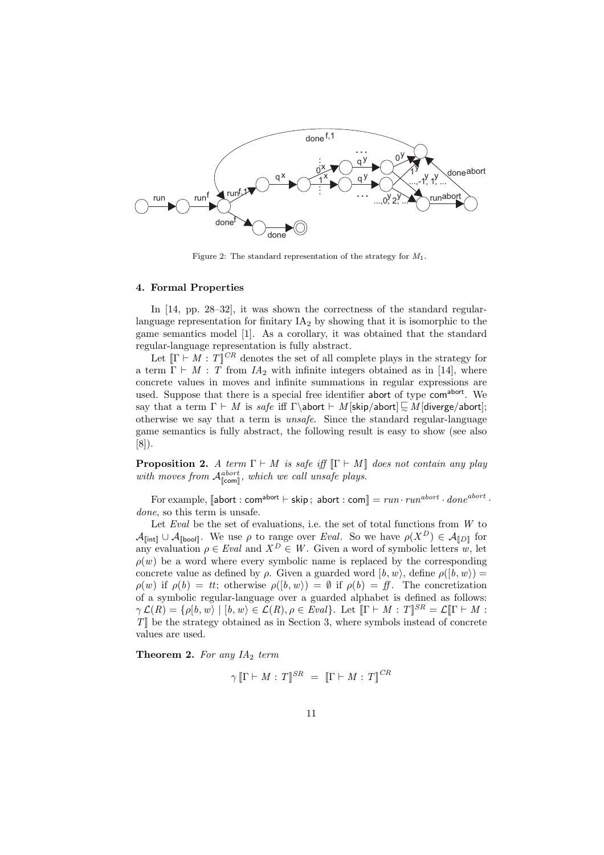

Figure 2: The standard representation of the strategy for  $M_1$ .

#### 4. Formal Properties

In [14, pp. 28–32], it was shown the correctness of the standard regularlanguage representation for finitary  $IA<sub>2</sub>$  by showing that it is isomorphic to the game semantics model [1]. As a corollary, it was obtained that the standard regular-language representation is fully abstract.

Let  $[\Gamma \vdash M : T]^{\mathbb{C}R}$  denotes the set of all complete plays in the strategy for a term  $\Gamma \vdash M : T$  from  $IA_2$  with infinite integers obtained as in [14], where concrete values in moves and infinite summations in regular expressions are used. Suppose that there is a special free identifier abort of type comabort. We say that a term  $\Gamma \vdash M$  is safe iff  $\Gamma \$  M [skip/abort]  $\subseteq M$  [diverge/abort]; otherwise we say that a term is unsafe. Since the standard regular-language game semantics is fully abstract, the following result is easy to show (see also [8]).

**Proposition 2.** A term  $\Gamma \vdash M$  is safe iff  $\lbrack \Gamma \vdash M \rbrack$  does not contain any play with moves from  $\mathcal{A}_{\llbracket \mathsf{com} \rrbracket}^{abort}$ , which we call unsafe plays.

For example,  $\llbracket \mathsf{abort} : \mathsf{com}^{\mathsf{abort}} \vdash \mathsf{skip}$ ; abort :  $\mathsf{com} \llbracket = run \cdot run^{abort} \cdot done^{abort}$ . done, so this term is unsafe.

Let  $Eval$  be the set of evaluations, i.e. the set of total functions from  $W$  to  $\mathcal{A}_{\lbrack\!\lbrack\mathfrak{in}\mathfrak{t}\rbrack\!\rbrack} \cup \mathcal{A}_{\lbrack\!\lbrack\mathfrak{bool}\rbrack\!\rbrack}$ . We use  $\rho$  to range over Eval. So we have  $\rho(X^D) \in \mathcal{A}_{\lbrack\!\lbrack\mathfrak{D}\rbrack\!\rbrack}$  for any evaluation  $\rho \in \text{Eval}$  and  $X^D \in W$ . Given a word of symbolic letters  $w$ , let  $\rho(w)$  be a word where every symbolic name is replaced by the corresponding concrete value as defined by ρ. Given a guarded word  $[b, w]$ , define  $\rho([b, w]) =$  $\rho(w)$  if  $\rho(b) = tt$ ; otherwise  $\rho([b, w)) = \emptyset$  if  $\rho(b) = ff$ . The concretization of a symbolic regular-language over a guarded alphabet is defined as follows:  $\gamma \mathcal{L}(R) = \{ \rho[b, w] \mid [b, w] \in \mathcal{L}(R), \rho \in \text{Eval} \}.$  Let  $\mathbb{T} \vdash M : T \mathbb{T}^{SR} = \mathcal{L} \mathbb{T} \vdash M : T \mathbb{T}^{SR} \vdash \text{MIN}$  $T$ ] be the strategy obtained as in Section 3, where symbols instead of concrete values are used.

**Theorem 2.** For any  $IA_2$  term

$$
\gamma \llbracket \Gamma \vdash M : T \rrbracket^{SR} \ = \ \llbracket \Gamma \vdash M : T \rrbracket^{CR}
$$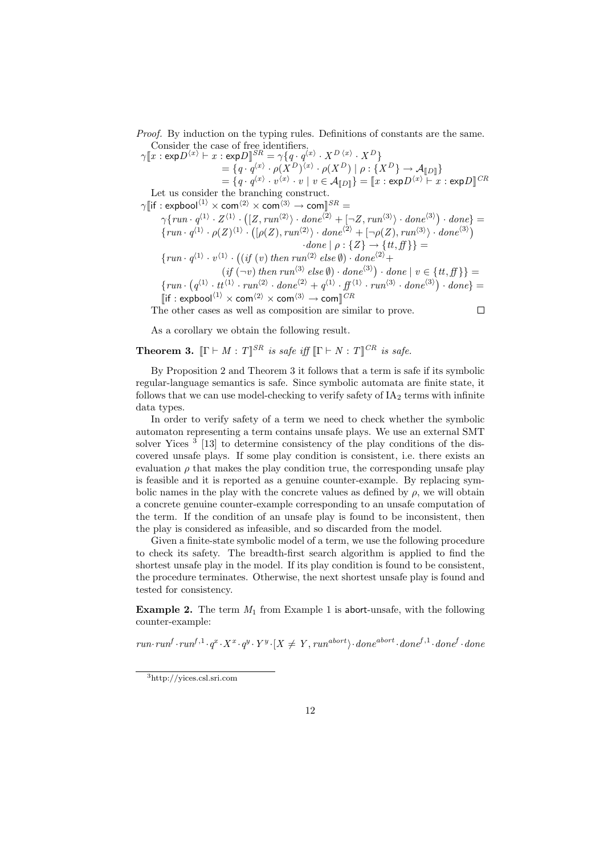Proof. By induction on the typing rules. Definitions of constants are the same. Consider the case of free identifiers.

 $\gamma \llbracket x : \mathsf{exp} D^{\langle x \rangle} \vdash x : \mathsf{exp} D \rrbracket^{SR} = \gamma \{ q \cdot q^{\langle x \rangle} \cdot X^{D \langle x \rangle} \cdot X^{D} \}$  $=\{q\cdot q^{\langle x\rangle}\cdot \rho(X^{D})^{\langle x\rangle}\cdot \rho(X^{D})\mid \rho:\{X^{D}\}\rightarrow \mathcal{A}_{\llbracket D\rrbracket}\}$  $\mathcal{L} = \{q\cdot q^{\langle x\rangle}\cdot v^{\langle x\rangle}\cdot v\mid v\in \mathcal{A}_{\llbracket D\rrbracket}\} = \llbracket x:\mathsf{exp}D^{\langle x\rangle}\vdash x:\mathsf{exp}D\rrbracket^{CR}$ Let us consider the branching construct.  $\gamma$  | if : expbool<sup>(1)</sup>  $\times$  com<sup>(2)</sup>  $\times$  com<sup>(3)</sup>  $\rightarrow$  com ||  $^{SR}$  =  $\gamma \{ run \cdot q^{\langle 1 \rangle} \cdot Z^{\langle 1 \rangle} \cdot \}$  $(IZ, run^{(2)}) \cdot done^{(2)} + [\neg Z, run^{(3)}) \cdot done^{(3)}$  $\cdot$  done} =  $\{run \cdot q^{\langle 1 \rangle} \cdot \rho(Z)^{\langle 1 \rangle} \cdot$  $\left(\left[\rho(Z), run^{(2)}\right) \cdot done^{(2)} + \left[\neg\rho(Z), run^{(3)}\right) \cdot done^{(3)}\right)$  $\cdot$ done  $| \rho : \{Z\} \rightarrow \{tt, ff\}$  =  $\{ run \cdot q^{(1)} \cdot v^{(1)} \cdot \ldots \}$  $((if (v) then run<sup>(2)</sup> else  $\emptyset)$ ) · done<sup>(2)</sup> +$  $(if (\neg v) then \, run^{(3)} \, else \emptyset) \cdot done^{(3)} ) \cdot done | v \in \{tt, ff\}$  $\{run\cdot$ ¡  $q^{(1)} \cdot tt^{(1)} \cdot run^{(2)} \cdot done^{(2)} + q^{(1)} \cdot ff^{(1)} \cdot run^{(3)} \cdot done^{(3)})$  $\cdot$  done} =  $\left[\left| \text{if} : \text{explool}^{\langle 1 \rangle} \times \text{com}^{\langle 2 \rangle} \times \text{com}^{\langle 3 \rangle} \right] \rightarrow \text{com} \right]^{\text{CR}}$ 

The other cases as well as composition are similar to prove.

$$
\qquad \qquad \Box
$$

As a corollary we obtain the following result.

**Theorem 3.**  $[\Gamma \vdash M : T]^{\mathit{SR}}$  is safe iff  $[\Gamma \vdash N : T]^{\mathit{CR}}$  is safe.

By Proposition 2 and Theorem 3 it follows that a term is safe if its symbolic regular-language semantics is safe. Since symbolic automata are finite state, it follows that we can use model-checking to verify safety of  $IA<sub>2</sub>$  terms with infinite data types.

In order to verify safety of a term we need to check whether the symbolic automaton representing a term contains unsafe plays. We use an external SMT solver Yices<sup>3</sup> [13] to determine consistency of the play conditions of the discovered unsafe plays. If some play condition is consistent, i.e. there exists an evaluation  $\rho$  that makes the play condition true, the corresponding unsafe play is feasible and it is reported as a genuine counter-example. By replacing symbolic names in the play with the concrete values as defined by  $\rho$ , we will obtain a concrete genuine counter-example corresponding to an unsafe computation of the term. If the condition of an unsafe play is found to be inconsistent, then the play is considered as infeasible, and so discarded from the model.

Given a finite-state symbolic model of a term, we use the following procedure to check its safety. The breadth-first search algorithm is applied to find the shortest unsafe play in the model. If its play condition is found to be consistent, the procedure terminates. Otherwise, the next shortest unsafe play is found and tested for consistency.

**Example 2.** The term  $M_1$  from Example 1 is abort-unsafe, with the following counter-example:

 $run\cdot run^f\cdot run^{f,1}\cdot q^x\cdot X^x\cdot q^y\cdot Y^y\cdot [X \neq Y, run^{abort}\cdot done^{abort}\cdot done^{f,1}\cdot done^f\cdot done$ 

<sup>3</sup>http://yices.csl.sri.com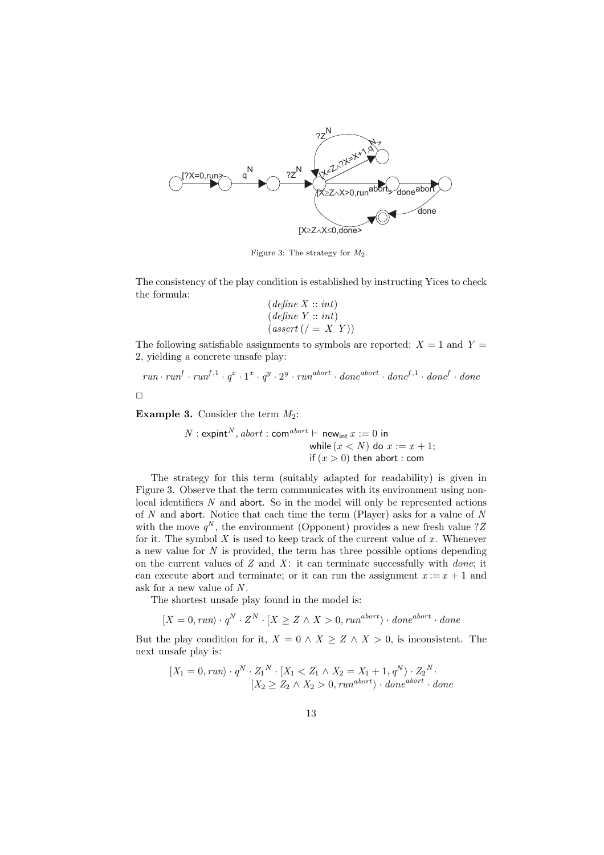

Figure 3: The strategy for M2.

The consistency of the play condition is established by instructing Yices to check the formula:

$$
(define X :: int)
$$
  

$$
(define Y :: int)
$$
  

$$
(assert ( / = X Y))
$$

The following satisfiable assignments to symbols are reported:  $X = 1$  and  $Y =$ 2, yielding a concrete unsafe play:

$$
run \cdot run^f \cdot run^{f,1} \cdot q^x \cdot 1^x \cdot q^y \cdot 2^y \cdot run^{abort} \cdot done^{abort} \cdot done^{f,1} \cdot done^f \cdot done
$$

 $\Box$ 

**Example 3.** Consider the term  $M_2$ :

 $N: \operatorname{expint}^N, \operatorname{abort} : \operatorname{com}^{\operatorname{abort}} \vdash \operatorname{new}_{\operatorname{int}} x := 0$  in while  $(x < N)$  do  $x := x + 1$ ; if  $(x > 0)$  then abort : com

The strategy for this term (suitably adapted for readability) is given in Figure 3. Observe that the term communicates with its environment using nonlocal identifiers  $N$  and abort. So in the model will only be represented actions of  $N$  and abort. Notice that each time the term (Player) asks for a value of  $N$ with the move  $q^N$ , the environment (Opponent) provides a new fresh value ?Z for it. The symbol  $X$  is used to keep track of the current value of  $x$ . Whenever a new value for  $N$  is provided, the term has three possible options depending on the current values of  $Z$  and  $X$ : it can terminate successfully with *done*; it can execute abort and terminate; or it can run the assignment  $x := x + 1$  and ask for a new value of  $N$ .

The shortest unsafe play found in the model is:

 $[X = 0, run \rangle \cdot q^N \cdot Z^N \cdot [X \geq Z \land X > 0, run^{abort} \rangle \cdot done^{abort} \cdot done$ 

But the play condition for it,  $X = 0 \land X \geq Z \land X > 0$ , is inconsistent. The next unsafe play is:

$$
[X_1 = 0, run) \cdot q^N \cdot Z_1^N \cdot [X_1 < Z_1 \land X_2 = X_1 + 1, q^N \rangle \cdot Z_2^N \cdot [X_2 \ge Z_2 \land X_2 > 0, run^{abort} \rangle \cdot done^{abort} \cdot done^{}
$$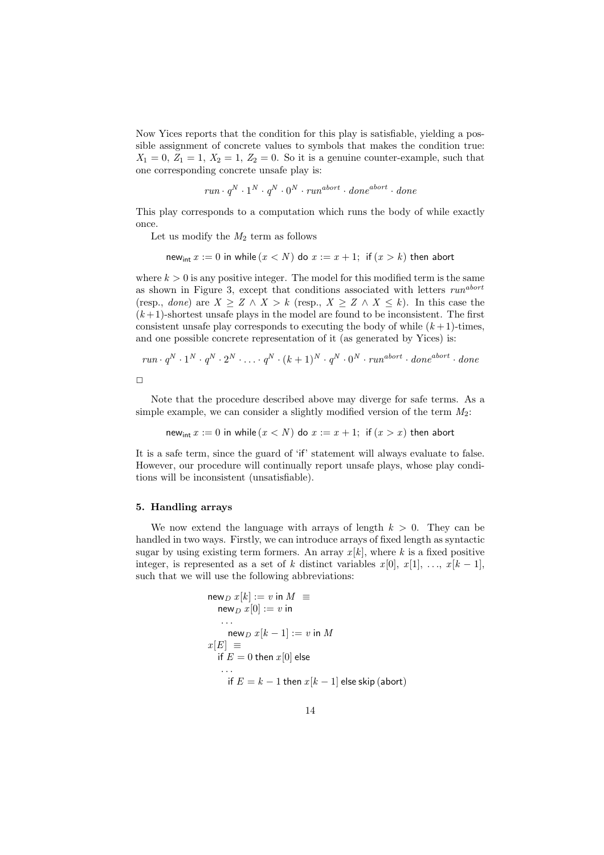Now Yices reports that the condition for this play is satisfiable, yielding a possible assignment of concrete values to symbols that makes the condition true:  $X_1 = 0, Z_1 = 1, X_2 = 1, Z_2 = 0$ . So it is a genuine counter-example, such that one corresponding concrete unsafe play is:

$$
run \cdot q^N \cdot 1^N \cdot q^N \cdot 0^N \cdot run^{abort} \cdot done^{abort} \cdot done
$$

This play corresponds to a computation which runs the body of while exactly once.

Let us modify the  $M_2$  term as follows

new<sub>int</sub>  $x := 0$  in while  $(x < N)$  do  $x := x + 1$ ; if  $(x > k)$  then abort

where  $k > 0$  is any positive integer. The model for this modified term is the same as shown in Figure 3, except that conditions associated with letters  $run<sup>abort</sup>$ (resp., *done*) are  $X \geq Z \land X > k$  (resp.,  $X \geq Z \land X \leq k$ ). In this case the  $(k+1)$ -shortest unsafe plays in the model are found to be inconsistent. The first consistent unsafe play corresponds to executing the body of while  $(k+1)$ -times, and one possible concrete representation of it (as generated by Yices) is:

$$
run \cdot q^N \cdot 1^N \cdot q^N \cdot 2^N \cdot \ldots \cdot q^N \cdot (k+1)^N \cdot q^N \cdot 0^N \cdot run^{abort} \cdot done^{abort} \cdot done
$$

Note that the procedure described above may diverge for safe terms. As a simple example, we can consider a slightly modified version of the term  $M_2$ :

new<sub>int</sub>  $x := 0$  in while  $(x < N)$  do  $x := x + 1$ ; if  $(x > x)$  then abort

It is a safe term, since the guard of 'if' statement will always evaluate to false. However, our procedure will continually report unsafe plays, whose play conditions will be inconsistent (unsatisfiable).

### 5. Handling arrays

We now extend the language with arrays of length  $k > 0$ . They can be handled in two ways. Firstly, we can introduce arrays of fixed length as syntactic sugar by using existing term formers. An array  $x[k]$ , where k is a fixed positive integer, is represented as a set of k distinct variables  $x[0], x[1], \ldots, x[k-1],$ such that we will use the following abbreviations:

$$
\begin{aligned}\n\mathsf{new}_D \, x[k] &:= v \, \mathsf{in} \, M \, \equiv \\
& \mathsf{new}_D \, x[0] &:= v \, \mathsf{in} \\
&\dots \\
\mathsf{new}_D \, x[k-1] &:= v \, \mathsf{in} \, M \\
x[E] &= \\
&\quad \mathsf{if} \, E = 0 \, \mathsf{then} \, x[0] \, \mathsf{else} \\
&\quad \mathsf{if} \, E = k - 1 \, \mathsf{then} \, x[k-1] \, \mathsf{else} \, \mathsf{skip} \, (\mathsf{abort})\n\end{aligned}
$$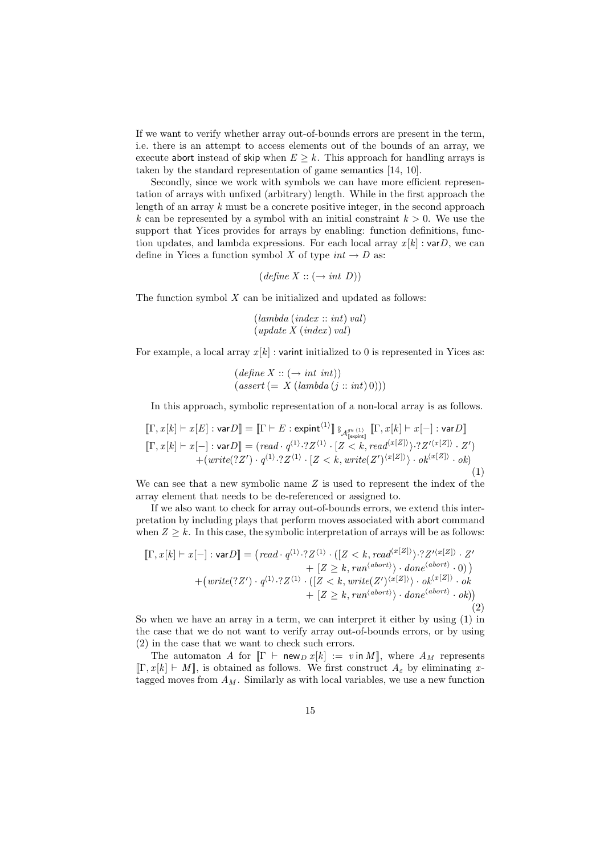If we want to verify whether array out-of-bounds errors are present in the term, i.e. there is an attempt to access elements out of the bounds of an array, we execute abort instead of skip when  $E \geq k$ . This approach for handling arrays is taken by the standard representation of game semantics [14, 10].

Secondly, since we work with symbols we can have more efficient representation of arrays with unfixed (arbitrary) length. While in the first approach the length of an array  $k$  must be a concrete positive integer, in the second approach k can be represented by a symbol with an initial constraint  $k > 0$ . We use the support that Yices provides for arrays by enabling: function definitions, function updates, and lambda expressions. For each local array  $x[k]$  : varD, we can define in Yices a function symbol X of type  $int \to D$  as:

$$
(define X :: (\rightarrow int D))
$$

The function symbol  $X$  can be initialized and updated as follows:

$$
\begin{array}{c} (lambda\ (index::\ int)\ val) \\ (update\ X\ (index)\ val) \end{array}
$$

For example, a local array  $x[k]$ : varint initialized to 0 is represented in Yices as:

$$
\begin{array}{l} (define\ X :: (\rightarrow int\ int))\\ (assert\ (=\ X\ (lambda\ (j :: int)\ 0)))\end{array}
$$

In this approach, symbolic representation of a non-local array is as follows.

$$
\begin{aligned}\n[\![\Gamma, x[k] \vdash x[E] : \text{var}D]\!] &= [\![\Gamma \vdash E : \text{expint}^{\langle 1 \rangle}]\!] \, \mathbb{S}_{\mathcal{A}_{\text{[exprint]}}^{gu \langle 1 \rangle}} \, [\![\Gamma, x[k] \vdash x[-] : \text{var}D]\!] \\
[\![\Gamma, x[k] \vdash x[-] : \text{var}D]\!] &= (\text{read} \cdot q^{(1)} \cdot 2Z^{(1)} \cdot [Z < k, \text{read}^{\langle x[Z] \rangle}) \cdot 2Z^{(x[Z])} \cdot Z') \\
&\quad + (\text{write}(2Z') \cdot q^{(1)} \cdot 2Z^{(1)} \cdot [Z < k, \text{write}(Z')^{\langle x[Z] \rangle}) \cdot \text{ok}^{\langle x[Z] \rangle} \cdot \text{ok})\n\end{aligned} \tag{1}
$$

We can see that a new symbolic name  $Z$  is used to represent the index of the array element that needs to be de-referenced or assigned to.

If we also want to check for array out-of-bounds errors, we extend this interpretation by including plays that perform moves associated with abort command when  $Z \geq k$ . In this case, the symbolic interpretation of arrays will be as follows:

$$
\llbracket \Gamma, x[k] \vdash x[-] : \text{var}D \rrbracket = \left(\text{read} \cdot q^{\langle 1 \rangle} \cdot 2^{ \langle 1 \rangle} \cdot \left( [Z < k, \text{read}^{\langle x[Z] \rangle} \rangle \cdot 2^{ \langle x[Z] \rangle} \cdot Z' \right) \right. \\
 \left. + \left[ Z \geq k, \text{run}^{\langle \text{abort} \rangle} \rangle \cdot \text{done}^{\langle \text{abort} \rangle} \cdot 0 \right) \right) \\
 \left. + \left(\text{write}(?Z') \cdot q^{\langle 1 \rangle} \cdot 2^{ \langle 1 \rangle} \cdot \left( [Z < k, \text{write}(Z')^{\langle x[Z] \rangle} \rangle \cdot \text{ok}^{\langle x[Z] \rangle} \cdot \text{ok} \right) \right. \\
 \left. + \left[ Z \geq k, \text{run}^{\langle \text{abort} \rangle} \rangle \cdot \text{done}^{\langle \text{abort} \rangle} \cdot \text{ok} \right) \right) \\
 \left. + \left. \left( 2 \cdot 2^{ \langle x[y] \rangle} \cdot \text{d}^{\langle x[y] \rangle} \cdot \text{d}^{\langle x[y] \rangle} \cdot \text{d}^{\langle x[y] \rangle} \right) \right) \\
 \left. + \left( 2 \cdot 2^{ \langle x[y] \rangle} \cdot \text{d}^{\langle x[y] \rangle} \cdot \text{d}^{\langle x[y] \rangle} \cdot \text{d}^{\langle x[y] \rangle} \right) \right) \\
 \left. + \left( 2^{ \langle x[y] \rangle} \cdot \text{d}^{\langle x[y] \rangle} \cdot \text{d}^{\langle x[y] \rangle} \cdot \text{d}^{\langle x[y] \rangle} \right) \\
 \left. + \left( 2^{ \langle x[y] \rangle} \cdot \text{d}^{\langle x[y] \rangle} \cdot \text{d}^{\langle x[y] \rangle} \cdot \text{d}^{\langle x[y] \rangle} \cdot \text{d}^{\langle x[y] \rangle} \right) \right) \\
 \left. + \left( 2^{ \langle x[y] \rangle} \cdot \text{d}^{\langle x[y] \rangle} \cdot \text{d}^{\langle x[y] \rangle} \cdot \text{d}^{\langle x[y] \rangle} \cdot \text{d}^{\langle x[y] \rangle} \right) \right) \\
 \left. + \left( 2^{ \langle x[y] \rangle} \cdot \text{d}
$$

So when we have an array in a term, we can interpret it either by using (1) in the case that we do not want to verify array out-of-bounds errors, or by using (2) in the case that we want to check such errors.

The automaton A for  $[\![\Gamma \vdash \mathsf{new}_D x[k] := v \text{ in } M]\!]$ , where  $A_M$  represents  $[\![\Gamma, x[k]\!] \vdash M\!]$ , is obtained as follows. We first construct  $A_\varepsilon$  by eliminating xtagged moves from  $A_M$ . Similarly as with local variables, we use a new function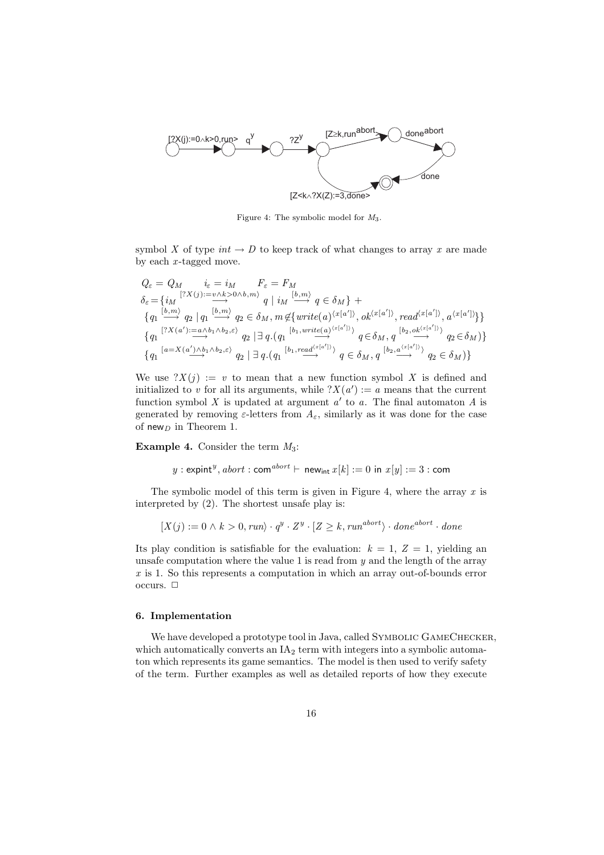

Figure 4: The symbolic model for M3.

symbol X of type  $int \to D$  to keep track of what changes to array x are made by each  $x$ -tagged move.

$$
\begin{array}{ll} Q_{\varepsilon} = Q_{M} & i_{\varepsilon} = i_{M} & F_{\varepsilon} = F_{M} \\ \delta_{\varepsilon} = \{i_{M} \overset{[?X(j) := v \wedge k > 0 \wedge b, m\rangle}{\longrightarrow} q \mid i_{M} \overset{[b, m\rangle}{\longrightarrow} q \in \delta_{M}\} \; + \\ \{q_{1} \overset{[b, m\rangle}{\longrightarrow} q_{2} \mid q_{1} \overset{[b, m\rangle}{\longrightarrow} q_{2} \in \delta_{M}, \, m \not\in \{ \text{write}(a)^{\langle x[a']\rangle}, \, ok^{\langle x[a']\rangle}, \, \text{read}^{\langle x[a']\rangle}, \, a^{\langle x[a']\rangle} \} \} \\ \{q_{1} \overset{[?X(a') := a \wedge b_{1} \wedge b_{2}, \varepsilon\rangle}{\longrightarrow} q_{2} \mid \exists \, q. \left( q_{1} \overset{[b_{1}, \text{write}(a)^{\langle x[a']\rangle})}{\longrightarrow} q \in \delta_{M}, \, q \overset{[b_{2}, \text{ok}^{\langle x[a']\rangle})}{\longrightarrow} q_{2} \in \delta_{M} \} \} \\ \{q_{1} \overset{[a = X(a') \wedge b_{1} \wedge b_{2}, \varepsilon\rangle}{\longrightarrow} q_{2} \mid \exists \, q. \left( q_{1} \overset{[b_{1}, \text{read}^{\langle x[a']\rangle})}{\longrightarrow} q \in \delta_{M}, \, q \overset{[b_{2}, \text{a}^{\langle x[a']\rangle})}{\longrightarrow} q_{2} \in \delta_{M} \} \} \end{array}
$$

We use  $?X(j) := v$  to mean that a new function symbol X is defined and initialized to v for all its arguments, while  $?X(a') := a$  means that the current function symbol X is updated at argument  $a'$  to a. The final automaton A is generated by removing  $\varepsilon$ -letters from  $A_{\varepsilon}$ , similarly as it was done for the case of new<sub>D</sub> in Theorem 1.

**Example 4.** Consider the term  $M_3$ :

$$
y:\text{expint}^y,\text{abort}: \text{com}^{\text{abort}} \vdash \text{ new}_{\text{int}}\,x[k]:=0\text{ in }x[y]:=3:\text{com}
$$

The symbolic model of this term is given in Figure 4, where the array  $x$  is interpreted by (2). The shortest unsafe play is:

$$
[X(j) := 0 \land k > 0, run) \cdot q^y \cdot Z^y \cdot [Z \ge k, run^{abort} \rangle \cdot done^{abort} \cdot done
$$

Its play condition is satisfiable for the evaluation:  $k = 1, Z = 1$ , yielding an unsafe computation where the value 1 is read from  $y$  and the length of the array  $x$  is 1. So this represents a computation in which an array out-of-bounds error occurs.  $\Box$ 

## 6. Implementation

We have developed a prototype tool in Java, called SYMBOLIC GAMECHECKER, which automatically converts an  $IA<sub>2</sub>$  term with integers into a symbolic automaton which represents its game semantics. The model is then used to verify safety of the term. Further examples as well as detailed reports of how they execute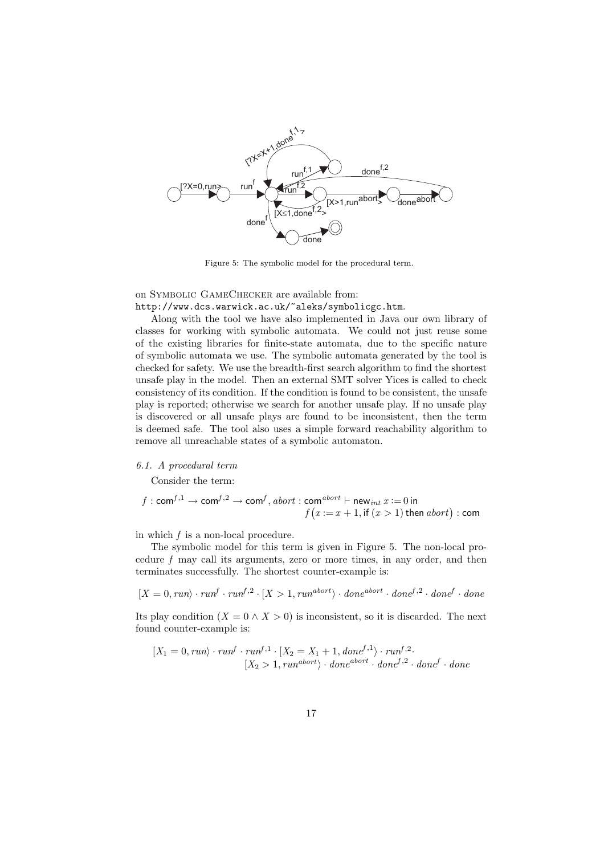

Figure 5: The symbolic model for the procedural term.

on Symbolic GameChecker are available from:

http://www.dcs.warwick.ac.uk/~aleks/symbolicgc.htm.

Along with the tool we have also implemented in Java our own library of classes for working with symbolic automata. We could not just reuse some of the existing libraries for finite-state automata, due to the specific nature of symbolic automata we use. The symbolic automata generated by the tool is checked for safety. We use the breadth-first search algorithm to find the shortest unsafe play in the model. Then an external SMT solver Yices is called to check consistency of its condition. If the condition is found to be consistent, the unsafe play is reported; otherwise we search for another unsafe play. If no unsafe play is discovered or all unsafe plays are found to be inconsistent, then the term is deemed safe. The tool also uses a simple forward reachability algorithm to remove all unreachable states of a symbolic automaton.

## 6.1. A procedural term

Consider the term:

$$
f: \text{com}^{f,1} \to \text{com}^{f,2} \to \text{com}^f, \text{abort}: \text{com}^{abort} \vdash \text{new}_{\text{int}} x := 0 \text{ in}
$$

$$
f(x := x + 1, \text{if } (x > 1) \text{ then } \text{abort}) : \text{com}
$$

in which  $f$  is a non-local procedure.

The symbolic model for this term is given in Figure 5. The non-local procedure  $f$  may call its arguments, zero or more times, in any order, and then terminates successfully. The shortest counter-example is:

$$
[X = 0, run\rangle \cdot run^f \cdot run^{f,2} \cdot [X > 1, run^{abort}\rangle \cdot done^{abort} \cdot done^{f,2} \cdot done^f \cdot done
$$

Its play condition  $(X = 0 \land X > 0)$  is inconsistent, so it is discarded. The next found counter-example is:

$$
[X_1 = 0, run] \cdot run^f \cdot run^{f,1} \cdot [X_2 = X_1 + 1, done^{f,1}) \cdot run^{f,2} \cdot
$$
  

$$
[X_2 > 1, run^{abort}) \cdot done^{abort} \cdot done^{f,2} \cdot done^f \cdot done^f \cdot done^{f}
$$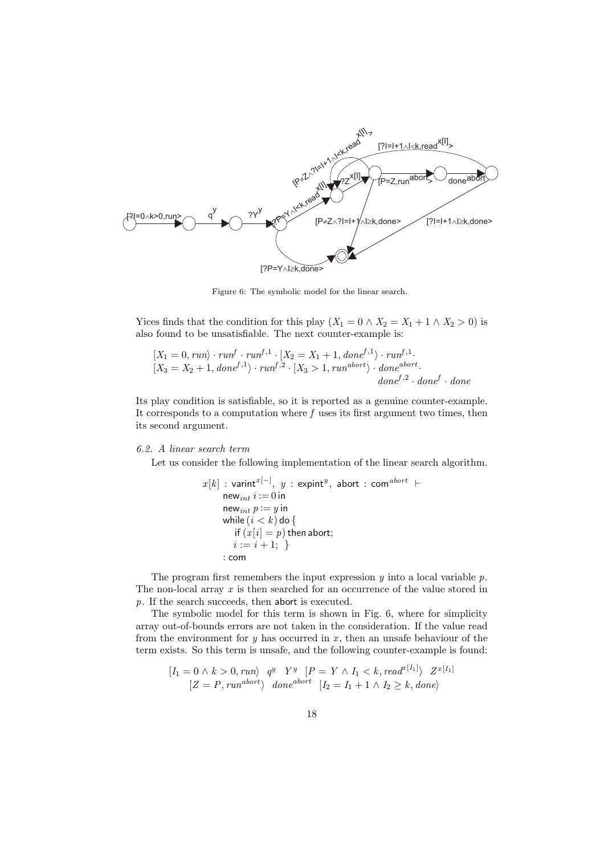

Figure 6: The symbolic model for the linear search.

Yices finds that the condition for this play  $(X_1 = 0 \land X_2 = X_1 + 1 \land X_2 > 0)$  is also found to be unsatisfiable. The next counter-example is:

$$
[X_1 = 0, run\rangle \cdot run^f \cdot run^{f,1} \cdot [X_2 = X_1 + 1, done^{f,1}\rangle \cdot run^{f,1}. [X_3 = X_2 + 1, done^{f,1}\rangle \cdot run^{f,2} \cdot [X_3 > 1, run^{abort}\rangle \cdot done^{abort}.
$$
  
done<sup>f,2</sup> \cdot done<sup>f</sup> \cdot done<sup>f</sup>

Its play condition is satisfiable, so it is reported as a genuine counter-example. It corresponds to a computation where  $f$  uses its first argument two times, then its second argument.

# 6.2. A linear search term

Let us consider the following implementation of the linear search algorithm.

$$
x[k] : \operatorname{varint}^{x[-]}, y : \operatorname{expint}^{y}, \operatorname{abort} : \operatorname{com}^{abort} \vdash
$$
  
\n
$$
\operatorname{new}_{int} i := 0 \operatorname{in}
$$
  
\n
$$
\operatorname{new}_{int} p := y \operatorname{in}
$$
  
\n
$$
\operatorname{while} (i < k) \operatorname{do} \{
$$
  
\n
$$
\operatorname{if} (x[i] = p) \operatorname{then} \operatorname{abort};
$$
  
\n
$$
i := i + 1; \}
$$
  
\n
$$
:\operatorname{com}
$$

The program first remembers the input expression  $y$  into a local variable  $p$ . The non-local array  $x$  is then searched for an occurrence of the value stored in p. If the search succeeds, then abort is executed.

The symbolic model for this term is shown in Fig. 6, where for simplicity array out-of-bounds errors are not taken in the consideration. If the value read from the environment for  $y$  has occurred in  $x$ , then an unsafe behaviour of the term exists. So this term is unsafe, and the following counter-example is found:

$$
[I_1 = 0 \land k > 0, run) \quad q^y \quad Y^y \quad [P = Y \land I_1 < k, read^{x[I_1]} \land Z^{x[I_1]}
$$
  

$$
[Z = P, run^{abort} \land done^{abort} \quad [I_2 = I_1 + 1 \land I_2 \ge k, done)
$$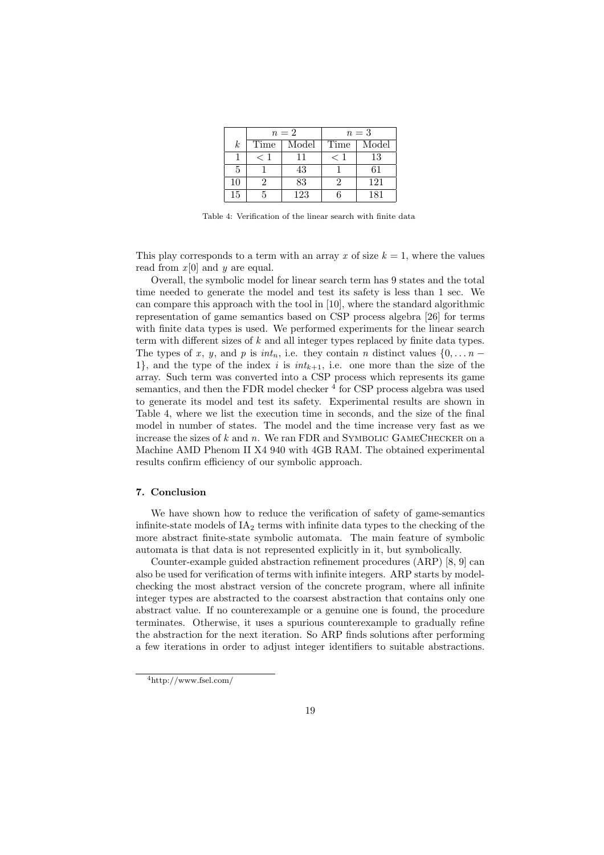|                  | $n=2$ |       | $n=3$ |       |
|------------------|-------|-------|-------|-------|
| $\boldsymbol{k}$ | Time  | Model | Time  | Model |
|                  |       | 11    | $<$ 1 | 13    |
|                  |       | 43    |       |       |
| 10               |       | 83    |       | 121   |
| 15               |       | 123   |       |       |

Table 4: Verification of the linear search with finite data

This play corresponds to a term with an array x of size  $k = 1$ , where the values read from  $x[0]$  and  $y$  are equal.

Overall, the symbolic model for linear search term has 9 states and the total time needed to generate the model and test its safety is less than 1 sec. We can compare this approach with the tool in [10], where the standard algorithmic representation of game semantics based on CSP process algebra [26] for terms with finite data types is used. We performed experiments for the linear search term with different sizes of k and all integer types replaced by finite data types. The types of x, y, and p is  $int_n$ , i.e. they contain n distinct values  $\{0, \ldots n -$ 1}, and the type of the index i is  $int_{k+1}$ , i.e. one more than the size of the array. Such term was converted into a CSP process which represents its game semantics, and then the FDR model checker  $<sup>4</sup>$  for CSP process algebra was used</sup> to generate its model and test its safety. Experimental results are shown in Table 4, where we list the execution time in seconds, and the size of the final model in number of states. The model and the time increase very fast as we increase the sizes of  $k$  and  $n$ . We ran FDR and SYMBOLIC GAMECHECKER on a Machine AMD Phenom II X4 940 with 4GB RAM. The obtained experimental results confirm efficiency of our symbolic approach.

#### 7. Conclusion

We have shown how to reduce the verification of safety of game-semantics infinite-state models of  $IA<sub>2</sub>$  terms with infinite data types to the checking of the more abstract finite-state symbolic automata. The main feature of symbolic automata is that data is not represented explicitly in it, but symbolically.

Counter-example guided abstraction refinement procedures (ARP) [8, 9] can also be used for verification of terms with infinite integers. ARP starts by modelchecking the most abstract version of the concrete program, where all infinite integer types are abstracted to the coarsest abstraction that contains only one abstract value. If no counterexample or a genuine one is found, the procedure terminates. Otherwise, it uses a spurious counterexample to gradually refine the abstraction for the next iteration. So ARP finds solutions after performing a few iterations in order to adjust integer identifiers to suitable abstractions.

<sup>4</sup>http://www.fsel.com/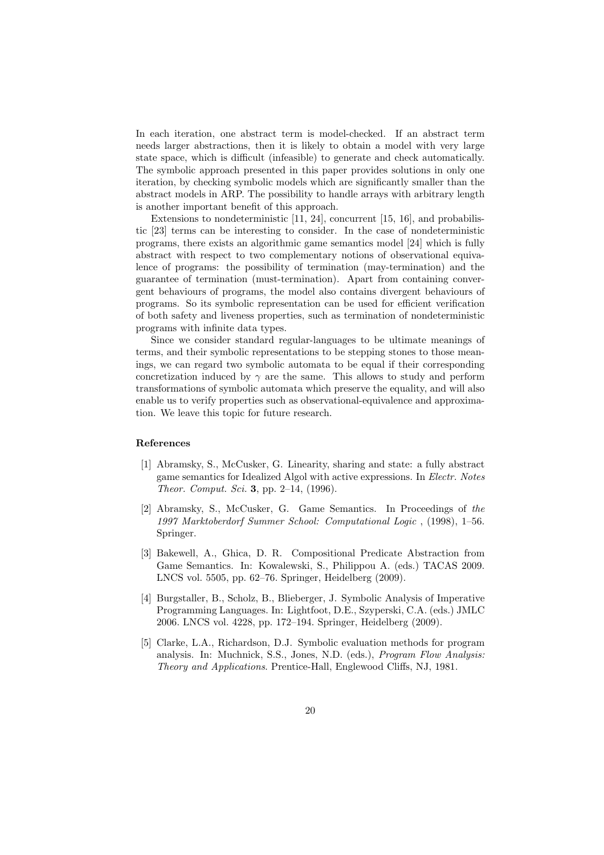In each iteration, one abstract term is model-checked. If an abstract term needs larger abstractions, then it is likely to obtain a model with very large state space, which is difficult (infeasible) to generate and check automatically. The symbolic approach presented in this paper provides solutions in only one iteration, by checking symbolic models which are significantly smaller than the abstract models in ARP. The possibility to handle arrays with arbitrary length is another important benefit of this approach.

Extensions to nondeterministic [11, 24], concurrent [15, 16], and probabilistic [23] terms can be interesting to consider. In the case of nondeterministic programs, there exists an algorithmic game semantics model [24] which is fully abstract with respect to two complementary notions of observational equivalence of programs: the possibility of termination (may-termination) and the guarantee of termination (must-termination). Apart from containing convergent behaviours of programs, the model also contains divergent behaviours of programs. So its symbolic representation can be used for efficient verification of both safety and liveness properties, such as termination of nondeterministic programs with infinite data types.

Since we consider standard regular-languages to be ultimate meanings of terms, and their symbolic representations to be stepping stones to those meanings, we can regard two symbolic automata to be equal if their corresponding concretization induced by  $\gamma$  are the same. This allows to study and perform transformations of symbolic automata which preserve the equality, and will also enable us to verify properties such as observational-equivalence and approximation. We leave this topic for future research.

## References

- [1] Abramsky, S., McCusker, G. Linearity, sharing and state: a fully abstract game semantics for Idealized Algol with active expressions. In Electr. Notes Theor. Comput. Sci. 3, pp. 2–14, (1996).
- [2] Abramsky, S., McCusker, G. Game Semantics. In Proceedings of the 1997 Marktoberdorf Summer School: Computational Logic , (1998), 1–56. Springer.
- [3] Bakewell, A., Ghica, D. R. Compositional Predicate Abstraction from Game Semantics. In: Kowalewski, S., Philippou A. (eds.) TACAS 2009. LNCS vol. 5505, pp. 62–76. Springer, Heidelberg (2009).
- [4] Burgstaller, B., Scholz, B., Blieberger, J. Symbolic Analysis of Imperative Programming Languages. In: Lightfoot, D.E., Szyperski, C.A. (eds.) JMLC 2006. LNCS vol. 4228, pp. 172–194. Springer, Heidelberg (2009).
- [5] Clarke, L.A., Richardson, D.J. Symbolic evaluation methods for program analysis. In: Muchnick, S.S., Jones, N.D. (eds.), Program Flow Analysis: Theory and Applications. Prentice-Hall, Englewood Cliffs, NJ, 1981.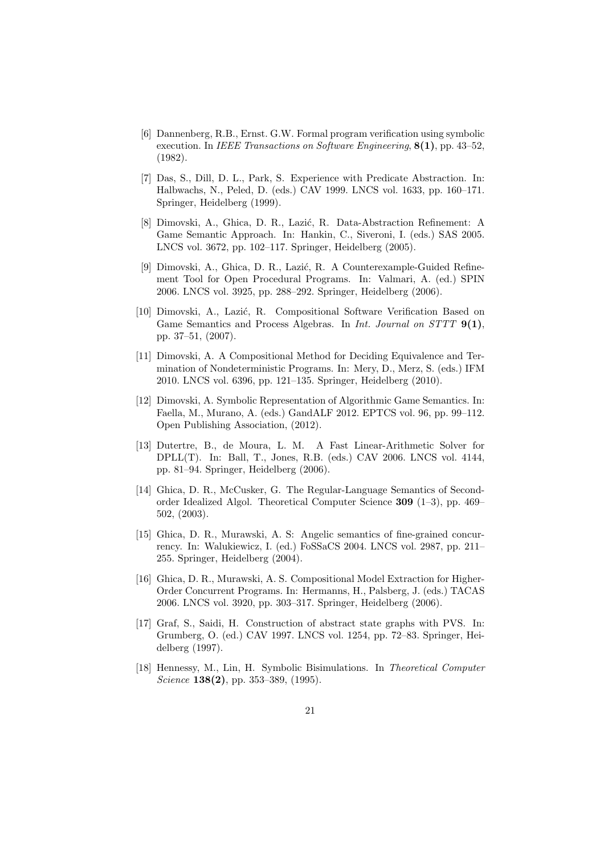- [6] Dannenberg, R.B., Ernst. G.W. Formal program verification using symbolic execution. In IEEE Transactions on Software Engineering, 8(1), pp. 43–52, (1982).
- [7] Das, S., Dill, D. L., Park, S. Experience with Predicate Abstraction. In: Halbwachs, N., Peled, D. (eds.) CAV 1999. LNCS vol. 1633, pp. 160–171. Springer, Heidelberg (1999).
- [8] Dimovski, A., Ghica, D. R., Lazić, R. Data-Abstraction Refinement: A Game Semantic Approach. In: Hankin, C., Siveroni, I. (eds.) SAS 2005. LNCS vol. 3672, pp. 102–117. Springer, Heidelberg (2005).
- [9] Dimovski, A., Ghica, D. R., Lazić, R. A Counterexample-Guided Refinement Tool for Open Procedural Programs. In: Valmari, A. (ed.) SPIN 2006. LNCS vol. 3925, pp. 288–292. Springer, Heidelberg (2006).
- [10] Dimovski, A., Lazić, R. Compositional Software Verification Based on Game Semantics and Process Algebras. In *Int. Journal on STTT* 9(1), pp. 37–51, (2007).
- [11] Dimovski, A. A Compositional Method for Deciding Equivalence and Termination of Nondeterministic Programs. In: Mery, D., Merz, S. (eds.) IFM 2010. LNCS vol. 6396, pp. 121–135. Springer, Heidelberg (2010).
- [12] Dimovski, A. Symbolic Representation of Algorithmic Game Semantics. In: Faella, M., Murano, A. (eds.) GandALF 2012. EPTCS vol. 96, pp. 99–112. Open Publishing Association, (2012).
- [13] Dutertre, B., de Moura, L. M. A Fast Linear-Arithmetic Solver for DPLL(T). In: Ball, T., Jones, R.B. (eds.) CAV 2006. LNCS vol. 4144, pp. 81–94. Springer, Heidelberg (2006).
- [14] Ghica, D. R., McCusker, G. The Regular-Language Semantics of Secondorder Idealized Algol. Theoretical Computer Science 309 (1–3), pp. 469– 502, (2003).
- [15] Ghica, D. R., Murawski, A. S: Angelic semantics of fine-grained concurrency. In: Walukiewicz, I. (ed.) FoSSaCS 2004. LNCS vol. 2987, pp. 211– 255. Springer, Heidelberg (2004).
- [16] Ghica, D. R., Murawski, A. S. Compositional Model Extraction for Higher-Order Concurrent Programs. In: Hermanns, H., Palsberg, J. (eds.) TACAS 2006. LNCS vol. 3920, pp. 303–317. Springer, Heidelberg (2006).
- [17] Graf, S., Saidi, H. Construction of abstract state graphs with PVS. In: Grumberg, O. (ed.) CAV 1997. LNCS vol. 1254, pp. 72–83. Springer, Heidelberg (1997).
- [18] Hennessy, M., Lin, H. Symbolic Bisimulations. In Theoretical Computer Science 138(2), pp. 353–389,  $(1995)$ .